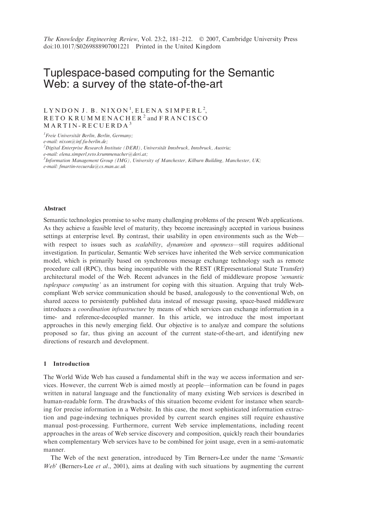# Tuplespace-based computing for the Semantic Web: a survey of the state-of-the-art

# $LYNDOMJ. B. NIXON<sup>1</sup>, ELENA SIMPERL<sup>2</sup>,$ RETO KRUMMENACHER<sup>2</sup> and FRANCISCO MARTIN-RECUERDA<sup>3</sup>

<sup>1</sup> Freie Universität Berlin, Berlin, Germany;

e-mail: nixon@inf.fu-berlin.de;

 $^{2}$ Digital Enterprise Research Institute (DERI), Universität Innsbruck, Innsbruck, Austria;

e-mail: elena.simperl,reto.krummenacher@deri.at;

 $3$ Information Management Group (IMG), University of Manchester, Kilburn Building, Manchester, UK; e-mail: fmartin-recuerda@cs.man.ac.uk

#### Abstract

Semantic technologies promise to solve many challenging problems of the present Web applications. As they achieve a feasible level of maturity, they become increasingly accepted in various business settings at enterprise level. By contrast, their usability in open environments such as the Web with respect to issues such as *scalability*, *dynamism* and *openness*—still requires additional investigation. In particular, Semantic Web services have inherited the Web service communication model, which is primarily based on synchronous message exchange technology such as remote procedure call (RPC), thus being incompatible with the REST (REpresentational State Transfer) architectural model of the Web. Recent advances in the field of middleware propose 'semantic tuplespace computing' as an instrument for coping with this situation. Arguing that truly Webcompliant Web service communication should be based, analogously to the conventional Web, on shared access to persistently published data instead of message passing, space-based middleware introduces a coordination infrastructure by means of which services can exchange information in a time- and reference-decoupled manner. In this article, we introduce the most important approaches in this newly emerging field. Our objective is to analyze and compare the solutions proposed so far, thus giving an account of the current state-of-the-art, and identifying new directions of research and development.

# 1 Introduction

The World Wide Web has caused a fundamental shift in the way we access information and services. However, the current Web is aimed mostly at people—information can be found in pages written in natural language and the functionality of many existing Web services is described in human-readable form. The drawbacks of this situation become evident for instance when searching for precise information in a Website. In this case, the most sophisticated information extraction and page-indexing techniques provided by current search engines still require exhaustive manual post-processing. Furthermore, current Web service implementations, including recent approaches in the areas of Web service discovery and composition, quickly reach their boundaries when complementary Web services have to be combined for joint usage, even in a semi-automatic manner.

The Web of the next generation, introduced by Tim Berners-Lee under the name 'Semantic Web' (Berners-Lee et al., 2001), aims at dealing with such situations by augmenting the current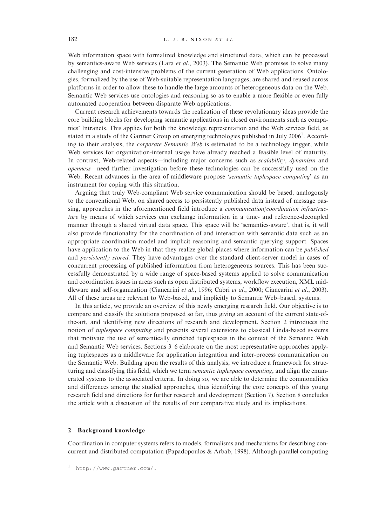Web information space with formalized knowledge and structured data, which can be processed by semantics-aware Web services (Lara *et al.*, 2003). The Semantic Web promises to solve many challenging and cost-intensive problems of the current generation of Web applications. Ontologies, formalized by the use of Web-suitable representation languages, are shared and reused across platforms in order to allow these to handle the large amounts of heterogeneous data on the Web. Semantic Web services use ontologies and reasoning so as to enable a more flexible or even fully automated cooperation between disparate Web applications.

Current research achievements towards the realization of these revolutionary ideas provide the core building blocks for developing semantic applications in closed environments such as companies' Intranets. This applies for both the knowledge representation and the Web services field, as stated in a study of the Gartner Group on emerging technologies published in July 2006<sup>1</sup>. According to their analysis, the *corporate Semantic Web* is estimated to be a technology trigger, while Web services for organization-internal usage have already reached a feasible level of maturity. In contrast, Web-related aspects—including major concerns such as *scalability*, *dynamism* and openness—need further investigation before these technologies can be successfully used on the Web. Recent advances in the area of middleware propose *'semantic tuplespace computing'* as an instrument for coping with this situation.

Arguing that truly Web-compliant Web service communication should be based, analogously to the conventional Web, on shared access to persistently published data instead of message passing, approaches in the aforementioned field introduce a communication/coordination infrastructure by means of which services can exchange information in a time- and reference-decoupled manner through a shared virtual data space. This space will be 'semantics-aware', that is, it will also provide functionality for the coordination of and interaction with semantic data such as an appropriate coordination model and implicit reasoning and semantic querying support. Spaces have application to the Web in that they realize global places where information can be published and *persistently stored*. They have advantages over the standard client-server model in cases of concurrent processing of published information from heterogeneous sources. This has been successfully demonstrated by a wide range of space-based systems applied to solve communication and coordination issues in areas such as open distributed systems, workflow execution, XML middleware and self-organization (Ciancarini et al., 1996; Cabri et al., 2000; Ciancarini et al., 2003). All of these areas are relevant to Web-based, and implicitly to Semantic Web–based, systems.

In this article, we provide an overview of this newly emerging research field. Our objective is to compare and classify the solutions proposed so far, thus giving an account of the current state-ofthe-art, and identifying new directions of research and development. Section 2 introduces the notion of tuplespace computing and presents several extensions to classical Linda-based systems that motivate the use of semantically enriched tuplespaces in the context of the Semantic Web and Semantic Web services. Sections 3–6 elaborate on the most representative approaches applying tuplespaces as a middleware for application integration and inter-process communication on the Semantic Web. Building upon the results of this analysis, we introduce a framework for structuring and classifying this field, which we term *semantic tuplespace computing*, and align the enumerated systems to the associated criteria. In doing so, we are able to determine the commonalities and differences among the studied approaches, thus identifying the core concepts of this young research field and directions for further research and development (Section 7). Section 8 concludes the article with a discussion of the results of our comparative study and its implications.

### 2 Background knowledge

Coordination in computer systems refers to models, formalisms and mechanisms for describing concurrent and distributed computation (Papadopoulos & Arbab, 1998). Although parallel computing

<sup>1</sup> [http://www.gartner.com/.](http://www.gartner.com/)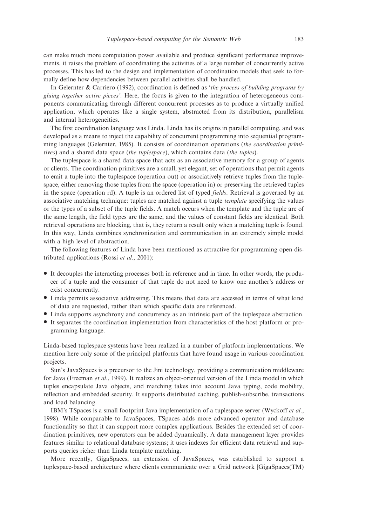can make much more computation power available and produce significant performance improvements, it raises the problem of coordinating the activities of a large number of concurrently active processes. This has led to the design and implementation of coordination models that seek to formally define how dependencies between parallel activities shall be handled.

In Gelernter & Carriero (1992), coordination is defined as 'the process of building programs by gluing together active pieces'. Here, the focus is given to the integration of heterogeneous components communicating through different concurrent processes as to produce a virtually unified application, which operates like a single system, abstracted from its distribution, parallelism and internal heterogeneities.

The first coordination language was Linda. Linda has its origins in parallel computing, and was developed as a means to inject the capability of concurrent programming into sequential programming languages (Gelernter, 1985). It consists of coordination operations (the coordination primitives) and a shared data space (the tuplespace), which contains data (the tuples).

The tuplespace is a shared data space that acts as an associative memory for a group of agents or clients. The coordination primitives are a small, yet elegant, set of operations that permit agents to emit a tuple into the tuplespace (operation out) or associatively retrieve tuples from the tuplespace, either removing those tuples from the space (operation in) or preserving the retrieved tuples in the space (operation rd). A tuple is an ordered list of typed *fields*. Retrieval is governed by an associative matching technique: tuples are matched against a tuple template specifying the values or the types of a subset of the tuple fields. A match occurs when the template and the tuple are of the same length, the field types are the same, and the values of constant fields are identical. Both retrieval operations are blocking, that is, they return a result only when a matching tuple is found. In this way, Linda combines synchronization and communication in an extremely simple model with a high level of abstraction.

The following features of Linda have been mentioned as attractive for programming open distributed applications (Rossi et al., 2001):

- \* It decouples the interacting processes both in reference and in time. In other words, the producer of a tuple and the consumer of that tuple do not need to know one another's address or exist concurrently.
- \* Linda permits associative addressing. This means that data are accessed in terms of what kind of data are requested, rather than which specific data are referenced.
- \* Linda supports asynchrony and concurrency as an intrinsic part of the tuplespace abstraction.
- It separates the coordination implementation from characteristics of the host platform or programming language.

Linda-based tuplespace systems have been realized in a number of platform implementations. We mention here only some of the principal platforms that have found usage in various coordination projects.

Sun's JavaSpaces is a precursor to the Jini technology, providing a communication middleware for Java (Freeman et al., 1999). It realizes an object-oriented version of the Linda model in which tuples encapsulate Java objects, and matching takes into account Java typing, code mobility, reflection and embedded security. It supports distributed caching, publish-subscribe, transactions and load balancing.

IBM's TSpaces is a small footprint Java implementation of a tuplespace server (Wyckoff et al., 1998). While comparable to JavaSpaces, TSpaces adds more advanced operator and database functionality so that it can support more complex applications. Besides the extended set of coordination primitives, new operators can be added dynamically. A data management layer provides features similar to relational database systems; it uses indexes for efficient data retrieval and supports queries richer than Linda template matching.

More recently, GigaSpaces, an extension of JavaSpaces, was established to support a tuplespace-based architecture where clients communicate over a Grid network [GigaSpaces(TM)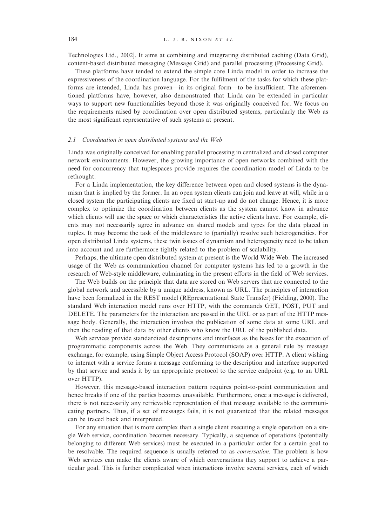Technologies Ltd., 2002]. It aims at combining and integrating distributed caching (Data Grid), content-based distributed messaging (Message Grid) and parallel processing (Processing Grid).

These platforms have tended to extend the simple core Linda model in order to increase the expressiveness of the coordination language. For the fulfilment of the tasks for which these platforms are intended, Linda has proven—in its original form—to be insufficient. The aforementioned platforms have, however, also demonstrated that Linda can be extended in particular ways to support new functionalities beyond those it was originally conceived for. We focus on the requirements raised by coordination over open distributed systems, particularly the Web as the most significant representative of such systems at present.

#### 2.1 Coordination in open distributed systems and the Web

Linda was originally conceived for enabling parallel processing in centralized and closed computer network environments. However, the growing importance of open networks combined with the need for concurrency that tuplespaces provide requires the coordination model of Linda to be rethought.

For a Linda implementation, the key difference between open and closed systems is the dynamism that is implied by the former. In an open system clients can join and leave at will, while in a closed system the participating clients are fixed at start-up and do not change. Hence, it is more complex to optimize the coordination between clients as the system cannot know in advance which clients will use the space or which characteristics the active clients have. For example, clients may not necessarily agree in advance on shared models and types for the data placed in tuples. It may become the task of the middleware to (partially) resolve such heterogeneities. For open distributed Linda systems, these twin issues of dynamism and heterogeneity need to be taken into account and are furthermore tightly related to the problem of scalability.

Perhaps, the ultimate open distributed system at present is the World Wide Web. The increased usage of the Web as communication channel for computer systems has led to a growth in the research of Web-style middleware, culminating in the present efforts in the field of Web services.

The Web builds on the principle that data are stored on Web servers that are connected to the global network and accessible by a unique address, known as URL. The principles of interaction have been formalized in the REST model (REpresentational State Transfer) (Fielding, 2000). The standard Web interaction model runs over HTTP, with the commands GET, POST, PUT and DELETE. The parameters for the interaction are passed in the URL or as part of the HTTP message body. Generally, the interaction involves the publication of some data at some URL and then the reading of that data by other clients who know the URL of the published data.

Web services provide standardized descriptions and interfaces as the bases for the execution of programmatic components across the Web. They communicate as a general rule by message exchange, for example, using Simple Object Access Protocol (SOAP) over HTTP. A client wishing to interact with a service forms a message conforming to the description and interface supported by that service and sends it by an appropriate protocol to the service endpoint (e.g. to an URL over HTTP).

However, this message-based interaction pattern requires point-to-point communication and hence breaks if one of the parties becomes unavailable. Furthermore, once a message is delivered, there is not necessarily any retrievable representation of that message available to the communicating partners. Thus, if a set of messages fails, it is not guaranteed that the related messages can be traced back and interpreted.

For any situation that is more complex than a single client executing a single operation on a single Web service, coordination becomes necessary. Typically, a sequence of operations (potentially belonging to different Web services) must be executed in a particular order for a certain goal to be resolvable. The required sequence is usually referred to as conversation. The problem is how Web services can make the clients aware of which conversations they support to achieve a particular goal. This is further complicated when interactions involve several services, each of which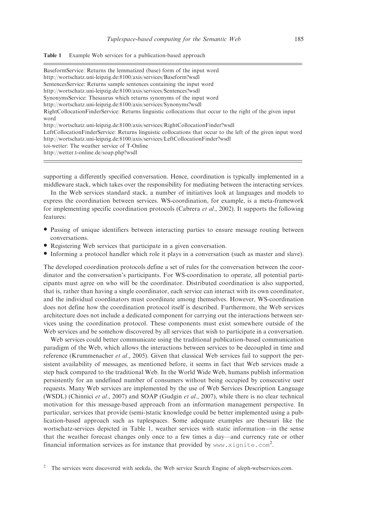#### Table 1 Example Web services for a publication-based approach

| BaseformService: Returns the lemmatized (base) form of the input word                                                                                                                                                                                                                    |
|------------------------------------------------------------------------------------------------------------------------------------------------------------------------------------------------------------------------------------------------------------------------------------------|
| http://wortschatz.uni-leipzig.de:8100/axis/services/Baseform?wsdl                                                                                                                                                                                                                        |
| SentencesService: Returns sample sentences containing the input word                                                                                                                                                                                                                     |
| http://wortschatz.uni-leipzig.de:8100/axis/services/Sentences?wsdl                                                                                                                                                                                                                       |
| SynonymsService: Thesaurus which returns synonyms of the input word                                                                                                                                                                                                                      |
| http://wortschatz.uni-leipzig.de:8100/axis/services/Synonyms?wsdl                                                                                                                                                                                                                        |
| RightCollocationFinderService: Returns linguistic collocations that occur to the right of the given input<br>word                                                                                                                                                                        |
| http://wortschatz.uni-leipzig.de:8100/axis/services/RightCollocationFinder?wsdl                                                                                                                                                                                                          |
| LeftCollocationFinderService: Returns linguistic collocations that occur to the left of the given input word<br>http://wortschatz.uni-leipzig.de:8100/axis/services/LeftCollocationFinder?wsdl<br>toi-wetter: The weather service of T-Online<br>http://wetter.t-online.de/soap.php?wsdl |
|                                                                                                                                                                                                                                                                                          |

supporting a differently specified conversation. Hence, coordination is typically implemented in a middleware stack, which takes over the responsibility for mediating between the interacting services.

In the Web services standard stack, a number of initiatives look at languages and models to express the coordination between services. WS-coordination, for example, is a meta-framework for implementing specific coordination protocols (Cabrera et al., 2002). It supports the following features:

- \* Passing of unique identifiers between interacting parties to ensure message routing between conversations.
- \* Registering Web services that participate in a given conversation.
- \* Informing a protocol handler which role it plays in a conversation (such as master and slave).

The developed coordination protocols define a set of rules for the conversation between the coordinator and the conversation's participants. For WS-coordination to operate, all potential participants must agree on who will be the coordinator. Distributed coordination is also supported, that is, rather than having a single coordinator, each service can interact with its own coordinator, and the individual coordinators must coordinate among themselves. However, WS-coordination does not define how the coordination protocol itself is described. Furthermore, the Web services architecture does not include a dedicated component for carrying out the interactions between services using the coordination protocol. These components must exist somewhere outside of the Web services and be somehow discovered by all services that wish to participate in a conversation.

Web services could better communicate using the traditional publication-based communication paradigm of the Web, which allows the interactions between services to be decoupled in time and reference (Krummenacher et al., 2005). Given that classical Web services fail to support the persistent availability of messages, as mentioned before, it seems in fact that Web services made a step back compared to the traditional Web. In the World Wide Web, humans publish information persistently for an undefined number of consumers without being occupied by consecutive user requests. Many Web services are implemented by the use of Web Services Description Language (WSDL) (Chinnici et al., 2007) and SOAP (Gudgin et al., 2007), while there is no clear technical motivation for this message-based approach from an information management perspective. In particular, services that provide (semi-)static knowledge could be better implemented using a publication-based approach such as tuplespaces. Some adequate examples are thesauri like the wortschatz-services depicted in Table 1, weather services with static information—in the sense that the weather forecast changes only once to a few times a day—and currency rate or other financial information services as for instance that provided by www.xignite.com<sup>2</sup>.

<sup>&</sup>lt;sup>2</sup> The services were discovered with seekda, the Web service Search Engine of aleph-webservices.com.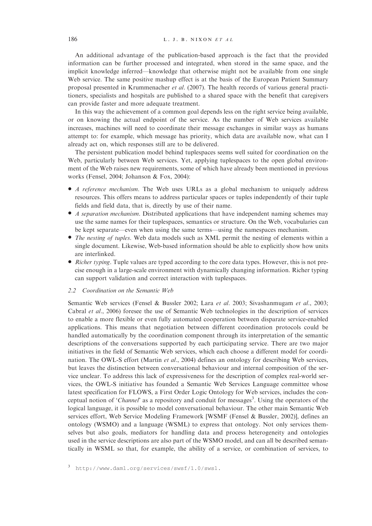An additional advantage of the publication-based approach is the fact that the provided information can be further processed and integrated, when stored in the same space, and the implicit knowledge inferred—knowledge that otherwise might not be available from one single Web service. The same positive mashup effect is at the basis of the European Patient Summary proposal presented in Krummenacher et al. (2007). The health records of various general practitioners, specialists and hospitals are published to a shared space with the benefit that caregivers can provide faster and more adequate treatment.

In this way the achievement of a common goal depends less on the right service being available, or on knowing the actual endpoint of the service. As the number of Web services available increases, machines will need to coordinate their message exchanges in similar ways as humans attempt to: for example, which message has priority, which data are available now, what can I already act on, which responses still are to be delivered.

The persistent publication model behind tuplespaces seems well suited for coordination on the Web, particularly between Web services. Yet, applying tuplespaces to the open global environment of the Web raises new requirements, some of which have already been mentioned in previous works (Fensel, 2004; Johanson & Fox, 2004):

- A reference mechanism. The Web uses URLs as a global mechanism to uniquely address resources. This offers means to address particular spaces or tuples independently of their tuple fields and field data, that is, directly by use of their name.
- A separation mechanism. Distributed applications that have independent naming schemes may use the same names for their tuplespaces, semantics or structure. On the Web, vocabularies can be kept separate—even when using the same terms—using the namespaces mechanism.
- The nesting of tuples. Web data models such as XML permit the nesting of elements within a single document. Likewise, Web-based information should be able to explicitly show how units are interlinked.
- Richer typing. Tuple values are typed according to the core data types. However, this is not precise enough in a large-scale environment with dynamically changing information. Richer typing can support validation and correct interaction with tuplespaces.

#### 2.2 Coordination on the Semantic Web

Semantic Web services (Fensel & Bussler 2002; Lara et al. 2003; Sivashanmugam et al., 2003; Cabral et al., 2006) foresee the use of Semantic Web technologies in the description of services to enable a more flexible or even fully automated cooperation between disparate service-enabled applications. This means that negotiation between different coordination protocols could be handled automatically by the coordination component through its interpretation of the semantic descriptions of the conversations supported by each participating service. There are two major initiatives in the field of Semantic Web services, which each choose a different model for coordination. The OWL-S effort (Martin et al., 2004) defines an ontology for describing Web services, but leaves the distinction between conversational behaviour and internal composition of the service unclear. To address this lack of expressiveness for the description of complex real-world services, the OWL-S initiative has founded a Semantic Web Services Language committee whose latest specification for FLOWS, a First Order Logic Ontology for Web services, includes the conceptual notion of 'Channel' as a repository and conduit for messages<sup>3</sup>. Using the operators of the logical language, it is possible to model conversational behaviour. The other main Semantic Web services effort, Web Service Modeling Framework [WSMF (Fensel & Bussler, 2002)], defines an ontology (WSMO) and a language (WSML) to express that ontology. Not only services themselves but also goals, mediators for handling data and process heterogeneity and ontologies used in the service descriptions are also part of the WSMO model, and can all be described semantically in WSML so that, for example, the ability of a service, or combination of services, to

<sup>3</sup> [http://www.daml.org/services/swsf/1.0/swsl.](http://www.daml.org/services/swsf/1.0/swsl)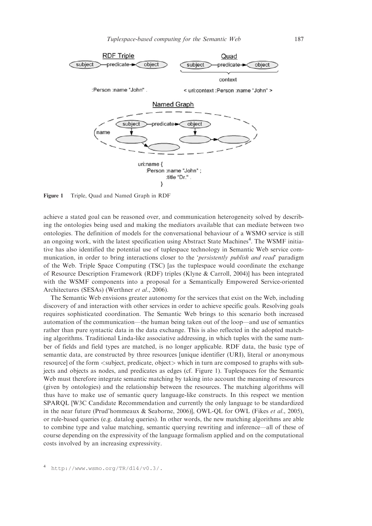

Figure 1 Triple, Quad and Named Graph in RDF

achieve a stated goal can be reasoned over, and communication heterogeneity solved by describing the ontologies being used and making the mediators available that can mediate between two ontologies. The definition of models for the conversational behaviour of a WSMO service is still an ongoing work, with the latest specification using Abstract State Machines<sup>4</sup>. The WSMF initiative has also identified the potential use of tuplespace technology in Semantic Web service communication, in order to bring interactions closer to the *'persistently publish and read'* paradigm of the Web. Triple Space Computing (TSC) [as the tuplespace would coordinate the exchange of Resource Description Framework (RDF) triples (Klyne & Carroll, 2004)] has been integrated with the WSMF components into a proposal for a Semantically Empowered Service-oriented Architectures (SESAs) (Werthner et al., 2006).

The Semantic Web envisions greater autonomy for the services that exist on the Web, including discovery of and interaction with other services in order to achieve specific goals. Resolving goals requires sophisticated coordination. The Semantic Web brings to this scenario both increased automation of the communication—the human being taken out of the loop—and use of semantics rather than pure syntactic data in the data exchange. This is also reflected in the adopted matching algorithms. Traditional Linda-like associative addressing, in which tuples with the same number of fields and field types are matched, is no longer applicable. RDF data, the basic type of semantic data, are constructed by three resources [unique identifier (URI), literal or anonymous resource] of the form <subject, predicate, object> which in turn are composed to graphs with subjects and objects as nodes, and predicates as edges (cf. Figure 1). Tuplespaces for the Semantic Web must therefore integrate semantic matching by taking into account the meaning of resources (given by ontologies) and the relationship between the resources. The matching algorithms will thus have to make use of semantic query language-like constructs. In this respect we mention SPARQL [W3C Candidate Recommendation and currently the only language to be standardized in the near future (Prud'hommeaux & Seaborne, 2006)], OWL-QL for OWL (Fikes et al., 2005), or rule-based queries (e.g. datalog queries). In other words, the new matching algorithms are able to combine type and value matching, semantic querying rewriting and inference—all of these of course depending on the expressivity of the language formalism applied and on the computational costs involved by an increasing expressivity.

<sup>4</sup> [http://www.wsmo.org/TR/d14/v0.3/.](http://www.wsmo.org/TR/d14/v0.3/)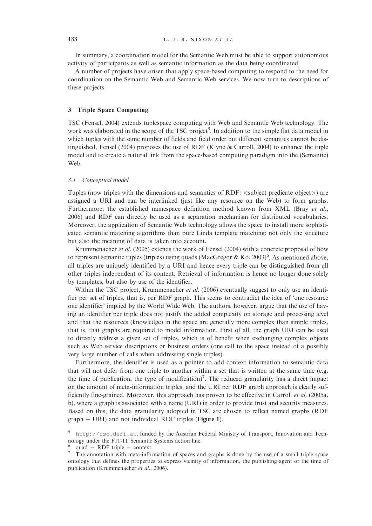In summary, a coordination model for the Semantic Web must be able to support autonomous activity of participants as well as semantic information as the data being coordinated.

A number of projects have arisen that apply space-based computing to respond to the need for coordination on the Semantic Web and Semantic Web services. We now turn to descriptions of these projects.

# 3 Triple Space Computing

TSC (Fensel, 2004) extends tuplespace computing with Web and Semantic Web technology. The work was elaborated in the scope of the TSC project<sup>5</sup>. In addition to the simple flat data model in which tuples with the same number of fields and field order but different semantics cannot be distinguished, Fensel (2004) proposes the use of RDF (Klyne & Carroll, 2004) to enhance the tuple model and to create a natural link from the space-based computing paradigm into the (Semantic) Web.

#### 3.1 Conceptual model

Tuples (now triples with the dimensions and semantics of RDF:  $\lt$ subject predicate object $\gt$ ) are assigned a URI and can be interlinked (just like any resource on the Web) to form graphs. Furthermore, the established namespace definition method known from XML (Bray et al., 2006) and RDF can directly be used as a separation mechanism for distributed vocabularies. Moreover, the application of Semantic Web technology allows the space to install more sophisticated semantic matching algorithms than pure Linda template matching: not only the structure but also the meaning of data is taken into account.

Krummenacher et al. (2005) extends the work of Fensel (2004) with a concrete proposal of how to represent semantic tuples (triples) using quads (MacGregor & Ko, 2003)<sup>6</sup>. As mentioned above, all triples are uniquely identified by a URI and hence every triple can be distinguished from all other triples independent of its content. Retrieval of information is hence no longer done solely by templates, but also by use of the identifier.

Within the TSC project, Krummenacher et al. (2006) eventually suggest to only use an identifier per set of triples, that is, per RDF graph. This seems to contradict the idea of 'one resource one identifier' implied by the World Wide Web. The authors, however, argue that the use of having an identifier per triple does not justify the added complexity on storage and processing level and that the resources (knowledge) in the space are generally more complex than simple triples, that is, that graphs are required to model information. First of all, the graph URI can be used to directly address a given set of triples, which is of benefit when exchanging complex objects such as Web service descriptions or business orders (one call to the space instead of a possibly very large number of calls when addressing single triples).

Furthermore, the identifier is used as a pointer to add context information to semantic data that will not defer from one triple to another within a set that is written at the same time (e.g. the time of publication, the type of modification)<sup>7</sup>. The reduced granularity has a direct impact on the amount of meta-information triples, and the URI per RDF graph approach is clearly sufficiently fine-grained. Moreover, this approach has proven to be effective in Carroll et al. (2005a, b), where a graph is associated with a name (URI) in order to provide trust and security measures. Based on this, the data granularity adopted in TSC are chosen to reflect named graphs (RDF  $graph + URI$ ) and not individual RDF triples (Figure 1).

<sup>5</sup> <http://tsc.deri.at>, funded by the Austrian Federal Ministry of Transport, Innovation and Technology under the FIT-IT Semantic Systems action line.

<sup>&</sup>lt;sup>6</sup> quad = RDF triple + context.<br><sup>7</sup> The annotation with meta-information of spaces and graphs is done by the use of a small triple space ontology that defines the properties to express vicinity of information, the publishing agent or the time of publication (Krummenacher et al., 2006).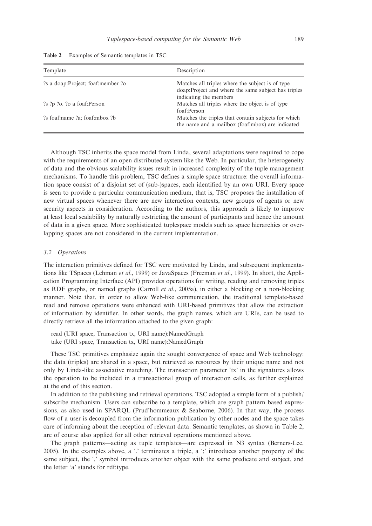| Template                          | Description                                                                                                                        |
|-----------------------------------|------------------------------------------------------------------------------------------------------------------------------------|
| ?s a doap:Project; foaf:member ?o | Matches all triples where the subject is of type<br>doap: Project and where the same subject has triples<br>indicating the members |
| ?s ?p ?o. ?o a foaf:Person        | Matches all triples where the object is of type<br>foaf:Person                                                                     |
| ?s foaf:name ?a; foaf:mbox ?b     | Matches the triples that contain subjects for which<br>the name and a mailbox (foaf:mbox) are indicated                            |

Table 2 Examples of Semantic templates in TSC

Although TSC inherits the space model from Linda, several adaptations were required to cope with the requirements of an open distributed system like the Web. In particular, the heterogeneity of data and the obvious scalability issues result in increased complexity of the tuple management mechanisms. To handle this problem, TSC defines a simple space structure: the overall information space consist of a disjoint set of (sub-)spaces, each identified by an own URI. Every space is seen to provide a particular communication medium, that is, TSC proposes the installation of new virtual spaces whenever there are new interaction contexts, new groups of agents or new security aspects in consideration. According to the authors, this approach is likely to improve at least local scalability by naturally restricting the amount of participants and hence the amount of data in a given space. More sophisticated tuplespace models such as space hierarchies or overlapping spaces are not considered in the current implementation.

### 3.2 Operations

The interaction primitives defined for TSC were motivated by Linda, and subsequent implementations like TSpaces (Lehman et al., 1999) or JavaSpaces (Freeman et al., 1999). In short, the Application Programming Interface (API) provides operations for writing, reading and removing triples as RDF graphs, or named graphs (Carroll *et al.*, 2005a), in either a blocking or a non-blocking manner. Note that, in order to allow Web-like communication, the traditional template-based read and remove operations were enhanced with URI-based primitives that allow the extraction of information by identifier. In other words, the graph names, which are URIs, can be used to directly retrieve all the information attached to the given graph:

read (URI space, Transaction tx, URI name):NamedGraph take (URI space, Transaction tx, URI name):NamedGraph

These TSC primitives emphasize again the sought convergence of space and Web technology: the data (triples) are shared in a space, but retrieved as resources by their unique name and not only by Linda-like associative matching. The transaction parameter 'tx' in the signatures allows the operation to be included in a transactional group of interaction calls, as further explained at the end of this section.

In addition to the publishing and retrieval operations, TSC adopted a simple form of a publish/ subscribe mechanism. Users can subscribe to a template, which are graph pattern based expressions, as also used in SPARQL (Prud'hommeaux  $\&$  Seaborne, 2006). In that way, the process flow of a user is decoupled from the information publication by other nodes and the space takes care of informing about the reception of relevant data. Semantic templates, as shown in Table 2, are of course also applied for all other retrieval operations mentioned above.

The graph patterns—acting as tuple templates—are expressed in N3 syntax (Berners-Lee, 2005). In the examples above, a '.' terminates a triple, a ';' introduces another property of the same subject, the ',' symbol introduces another object with the same predicate and subject, and the letter 'a' stands for rdf:type.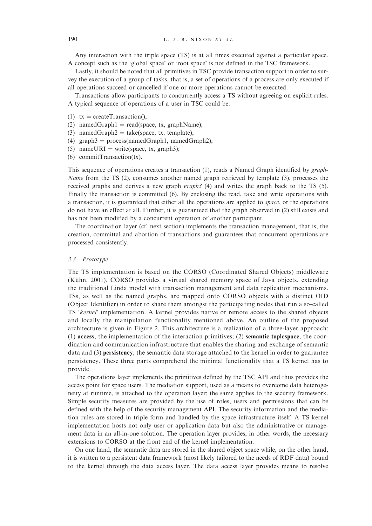Any interaction with the triple space (TS) is at all times executed against a particular space. A concept such as the 'global space' or 'root space' is not defined in the TSC framework.

Lastly, it should be noted that all primitives in TSC provide transaction support in order to survey the execution of a group of tasks, that is, a set of operations of a process are only executed if all operations succeed or cancelled if one or more operations cannot be executed.

Transactions allow participants to concurrently access a TS without agreeing on explicit rules. A typical sequence of operations of a user in TSC could be:

- (1)  $tx = createTransaction();$
- (2) namedGraph1 = read(space, tx, graphName);
- (3) namedGraph2 = take(space, tx, template);
- (4) graph $3 = \text{process}(\text{namedGraph1}, \text{namedGraph2})$ ;
- (5) nameURI = write(space, tx, graph3);
- (6) commitTransaction(tx).

This sequence of operations creates a transaction (1), reads a Named Graph identified by graph-Name from the TS (2), consumes another named graph retrieved by template (3), processes the received graphs and derives a new graph graph3 (4) and writes the graph back to the TS (5). Finally the transaction is committed (6). By enclosing the read, take and write operations with a transaction, it is guaranteed that either all the operations are applied to space, or the operations do not have an effect at all. Further, it is guaranteed that the graph observed in (2) still exists and has not been modified by a concurrent operation of another participant.

The coordination layer (cf. next section) implements the transaction management, that is, the creation, committal and abortion of transactions and guarantees that concurrent operations are processed consistently.

#### 3.3 Prototype

The TS implementation is based on the CORSO (Coordinated Shared Objects) middleware (Kühn, 2001). CORSO provides a virtual shared memory space of Java objects, extending the traditional Linda model with transaction management and data replication mechanisms. TSs, as well as the named graphs, are mapped onto CORSO objects with a distinct OID (Object Identifier) in order to share them amongst the participating nodes that run a so-called TS 'kernel' implementation. A kernel provides native or remote access to the shared objects and locally the manipulation functionality mentioned above. An outline of the proposed architecture is given in Figure 2. This architecture is a realization of a three-layer approach: (1) access, the implementation of the interaction primitives; (2) semantic tuplespace, the coordination and communication infrastructure that enables the sharing and exchange of semantic data and (3) persistency, the semantic data storage attached to the kernel in order to guarantee persistency. These three parts comprehend the minimal functionality that a TS kernel has to provide.

The operations layer implements the primitives defined by the TSC API and thus provides the access point for space users. The mediation support, used as a means to overcome data heterogeneity at runtime, is attached to the operation layer; the same applies to the security framework. Simple security measures are provided by the use of roles, users and permissions that can be defined with the help of the security management API. The security information and the mediation rules are stored in triple form and handled by the space infrastructure itself. A TS kernel implementation hosts not only user or application data but also the administrative or management data in an all-in-one solution. The operation layer provides, in other words, the necessary extensions to CORSO at the front end of the kernel implementation.

On one hand, the semantic data are stored in the shared object space while, on the other hand, it is written to a persistent data framework (most likely tailored to the needs of RDF data) bound to the kernel through the data access layer. The data access layer provides means to resolve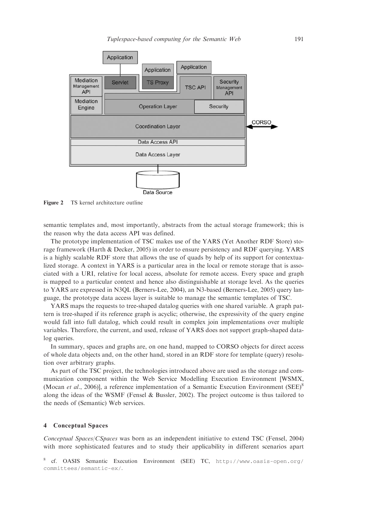

Figure 2 TS kernel architecture outline

semantic templates and, most importantly, abstracts from the actual storage framework; this is the reason why the data access API was defined.

The prototype implementation of TSC makes use of the YARS (Yet Another RDF Store) storage framework (Harth & Decker, 2005) in order to ensure persistency and RDF querying. YARS is a highly scalable RDF store that allows the use of quads by help of its support for contextualized storage. A context in YARS is a particular area in the local or remote storage that is associated with a URI, relative for local access, absolute for remote access. Every space and graph is mapped to a particular context and hence also distinguishable at storage level. As the queries to YARS are expressed in N3QL (Berners-Lee, 2004), an N3-based (Berners-Lee, 2005) query language, the prototype data access layer is suitable to manage the semantic templates of TSC.

YARS maps the requests to tree-shaped datalog queries with one shared variable. A graph pattern is tree-shaped if its reference graph is acyclic; otherwise, the expressivity of the query engine would fall into full datalog, which could result in complex join implementations over multiple variables. Therefore, the current, and used, release of YARS does not support graph-shaped datalog queries.

In summary, spaces and graphs are, on one hand, mapped to CORSO objects for direct access of whole data objects and, on the other hand, stored in an RDF store for template (query) resolution over arbitrary graphs.

As part of the TSC project, the technologies introduced above are used as the storage and communication component within the Web Service Modelling Execution Environment [WSMX, (Mocan *et al.*, 2006)], a reference implementation of a Semantic Execution Environment (SEE)<sup>8</sup> along the ideas of the WSMF (Fensel & Bussler, 2002). The project outcome is thus tailored to the needs of (Semantic) Web services.

# 4 Conceptual Spaces

Conceptual Spaces/CSpaces was born as an independent initiative to extend TSC (Fensel, 2004) with more sophisticated features and to study their applicability in different scenarios apart

<sup>8</sup> cf. OASIS Semantic Execution Environment (SEE) TC, <http://www.oasis-open.org/> committees/semantic-ex/.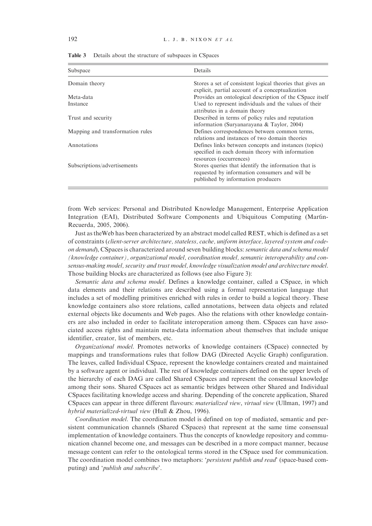| Subspace                         | Details                                                                                                                                      |
|----------------------------------|----------------------------------------------------------------------------------------------------------------------------------------------|
| Domain theory                    | Stores a set of consistent logical theories that gives an<br>explicit, partial account of a conceptualization                                |
| Meta-data                        | Provides an ontological description of the CSpace itself                                                                                     |
| Instance                         | Used to represent individuals and the values of their<br>attributes in a domain theory                                                       |
| Trust and security               | Described in terms of policy rules and reputation<br>information (Suryanarayana & Taylor, 2004)                                              |
| Mapping and transformation rules | Defines correspondences between common terms,<br>relations and instances of two domain theories                                              |
| Annotations                      | Defines links between concepts and instances (topics)<br>specified in each domain theory with information<br>resources (occurrences)         |
| Subscriptions/advertisements     | Stores queries that identify the information that is<br>requested by information consumers and will be<br>published by information producers |

Table 3 Details about the structure of subspaces in CSpaces

from Web services: Personal and Distributed Knowledge Management, Enterprise Application Integration (EAI), Distributed Software Components and Ubiquitous Computing (Martín-Recuerda, 2005, 2006).

Just as theWeb has been characterized by an abstract model called REST, which is defined as a set of constraints (client-server architecture, stateless, cache, uniform interface, layered system and codeon demand), CSpaces is characterized around seven building blocks: semantic data and schema model (knowledge container), organizational model, coordination model, semantic interoperability and consensus-making model, security and trust model, knowledge visualization model and architecture model. Those building blocks are characterized as follows (see also Figure 3):

Semantic data and schema model. Defines a knowledge container, called a CSpace, in which data elements and their relations are described using a formal representation language that includes a set of modelling primitives enriched with rules in order to build a logical theory. These knowledge containers also store relations, called annotations, between data objects and related external objects like documents and Web pages. Also the relations with other knowledge containers are also included in order to facilitate interoperation among them. CSpaces can have associated access rights and maintain meta-data information about themselves that include unique identifier, creator, list of members, etc.

Organizational model. Promotes networks of knowledge containers (CSpace) connected by mappings and transformations rules that follow DAG (Directed Acyclic Graph) configuration. The leaves, called Individual CSpace, represent the knowledge containers created and maintained by a software agent or individual. The rest of knowledge containers defined on the upper levels of the hierarchy of each DAG are called Shared CSpaces and represent the consensual knowledge among their sons. Shared CSpaces act as semantic bridges between other Shared and Individual CSpaces facilitating knowledge access and sharing. Depending of the concrete application, Shared CSpaces can appear in three different flavours: materialized view, virtual view (Ullman, 1997) and hybrid materialized-virtual view (Hull & Zhou, 1996).

Coordination model. The coordination model is defined on top of mediated, semantic and persistent communication channels (Shared CSpaces) that represent at the same time consensual implementation of knowledge containers. Thus the concepts of knowledge repository and communication channel become one, and messages can be described in a more compact manner, because message content can refer to the ontological terms stored in the CSpace used for communication. The coordination model combines two metaphors: 'persistent publish and read' (space-based computing) and 'publish and subscribe'.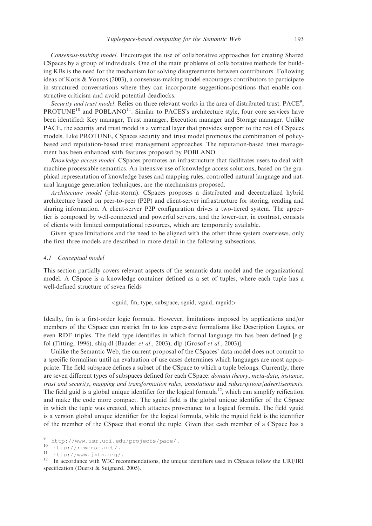Consensus-making model. Encourages the use of collaborative approaches for creating Shared CSpaces by a group of individuals. One of the main problems of collaborative methods for building KBs is the need for the mechanism for solving disagreements between contributors. Following ideas of Kotis & Vouros (2003), a consensus-making model encourages contributors to participate in structured conversations where they can incorporate suggestions/positions that enable constructive criticism and avoid potential deadlocks.

Security and trust model. Relies on three relevant works in the area of distributed trust:  $PACE<sup>9</sup>$ ,  $PROTUNE<sup>10</sup>$  and  $POBLANO<sup>11</sup>$ . Similar to PACES's architecture style, four core services have been identified: Key manager, Trust manager, Execution manager and Storage manager. Unlike PACE, the security and trust model is a vertical layer that provides support to the rest of CSpaces models. Like PROTUNE, CSpaces security and trust model promotes the combination of policybased and reputation-based trust management approaches. The reputation-based trust management has been enhanced with features proposed by POBLANO.

Knowledge access model. CSpaces promotes an infrastructure that facilitates users to deal with machine-processable semantics. An intensive use of knowledge access solutions, based on the graphical representation of knowledge bases and mapping rules, controlled natural language and natural language generation techniques, are the mechanisms proposed.

Architecture model (blue-storm). CSpaces proposes a distributed and decentralized hybrid architecture based on peer-to-peer (P2P) and client-server infrastructure for storing, reading and sharing information. A client-server P2P configuration drives a two-tiered system. The uppertier is composed by well-connected and powerful servers, and the lower-tier, in contrast, consists of clients with limited computational resources, which are temporarily available.

Given space limitations and the need to be aligned with the other three system overviews, only the first three models are described in more detail in the following subsections.

#### 4.1 Conceptual model

This section partially covers relevant aspects of the semantic data model and the organizational model. A CSpace is a knowledge container defined as a set of tuples, where each tuple has a well-defined structure of seven fields

#### $\le$ guid, fm, type, subspace, sguid, vguid, mguid $>$

Ideally, fm is a first-order logic formula. However, limitations imposed by applications and/or members of the CSpace can restrict fm to less expressive formalisms like Description Logics, or even RDF triples. The field type identifies in which formal language fm has been defined [e.g. fol (Fitting, 1996), shiq-dl (Baader et al., 2003), dlp (Grosof et al., 2003)].

Unlike the Semantic Web, the current proposal of the CSpaces' data model does not commit to a specific formalism until an evaluation of use cases determines which languages are most appropriate. The field subspace defines a subset of the CSpace to which a tuple belongs. Currently, there are seven different types of subspaces defined for each CSpace: domain theory, meta-data, instance, trust and security, mapping and transformation rules, annotations and subscriptions/advertisements. The field guid is a global unique identifier for the logical formula<sup>12</sup>, which can simplify reification and make the code more compact. The sguid field is the global unique identifier of the CSpace in which the tuple was created, which attaches provenance to a logical formula. The field vguid is a version global unique identifier for the logical formula, while the mguid field is the identifier of the member of the CSpace that stored the tuple. Given that each member of a CSpace has a

<sup>9</sup> [http://www.isr.uci.edu/projects/pace/.](http://www.isr.uci.edu/projects/pace/)<br>10 [http://rewerse.net/.](http://rewerse.net/)<br><sup>11</sup> [http://www.jxta.org/.](http://www.jxta.org/)<br><sup>12</sup> In accordance with W3C recommendations, the unique identifiers used in CSpaces follow the URI/IRI specification (Duerst & Suignard, 2005).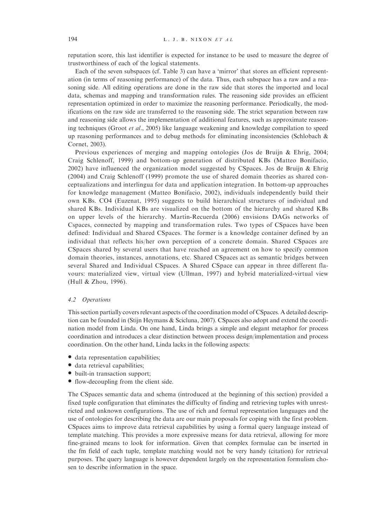reputation score, this last identifier is expected for instance to be used to measure the degree of trustworthiness of each of the logical statements.

Each of the seven subspaces (cf. Table 3) can have a 'mirror' that stores an efficient representation (in terms of reasoning performance) of the data. Thus, each subspace has a raw and a reasoning side. All editing operations are done in the raw side that stores the imported and local data, schemas and mapping and transformation rules. The reasoning side provides an efficient representation optimized in order to maximize the reasoning performance. Periodically, the modifications on the raw side are transferred to the reasoning side. The strict separation between raw and reasoning side allows the implementation of additional features, such as approximate reasoning techniques (Groot *et al.*, 2005) like language weakening and knowledge compilation to speed up reasoning performances and to debug methods for eliminating inconsistencies (Schlobach  $\&$ Cornet, 2003).

Previous experiences of merging and mapping ontologies (Jos de Bruijn & Ehrig, 2004; Craig Schlenoff, 1999) and bottom-up generation of distributed KBs (Matteo Bonifacio, 2002) have influenced the organization model suggested by CSpaces. Jos de Bruijn & Ehrig (2004) and Craig Schlenoff (1999) promote the use of shared domain theories as shared conceptualizations and interlingua for data and application integration. In bottom-up approaches for knowledge management (Matteo Bonifacio, 2002), individuals independently build their own KBs. CO4 (Euzenat, 1995) suggests to build hierarchical structures of individual and shared KBs. Individual KBs are visualized on the bottom of the hierarchy and shared KBs on upper levels of the hierarchy. Martin-Recuerda (2006) envisions DAGs networks of Cspaces, connected by mapping and transformation rules. Two types of CSpaces have been defined: Individual and Shared CSpaces. The former is a knowledge container defined by an individual that reflects his/her own perception of a concrete domain. Shared CSpaces are CSpaces shared by several users that have reached an agreement on how to specify common domain theories, instances, annotations, etc. Shared CSpaces act as semantic bridges between several Shared and Individual CSpaces. A Shared CSpace can appear in three different flavours: materialized view, virtual view (Ullman, 1997) and hybrid materialized-virtual view (Hull & Zhou, 1996).

# 4.2 Operations

This section partially covers relevant aspects of the coordination model of CSpaces. A detailed description can be founded in (Stijn Heymans & Scicluna, 2007). CSpaces also adopt and extend the coordination model from Linda. On one hand, Linda brings a simple and elegant metaphor for process coordination and introduces a clear distinction between process design/implementation and process coordination. On the other hand, Linda lacks in the following aspects:

- data representation capabilities;
- data retrieval capabilities;
- built-in transaction support;
- flow-decoupling from the client side.

The CSpaces semantic data and schema (introduced at the beginning of this section) provided a fixed tuple configuration that eliminates the difficulty of finding and retrieving tuples with unrestricted and unknown configurations. The use of rich and formal representation languages and the use of ontologies for describing the data are our main proposals for coping with the first problem. CSpaces aims to improve data retrieval capabilities by using a formal query language instead of template matching. This provides a more expressive means for data retrieval, allowing for more fine-grained means to look for information. Given that complex formulae can be inserted in the fm field of each tuple, template matching would not be very handy (citation) for retrieval purposes. The query language is however dependent largely on the representation formulism chosen to describe information in the space.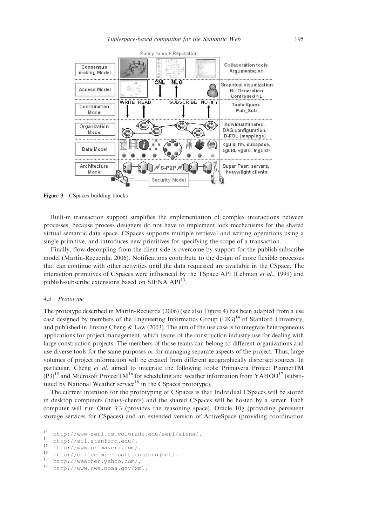

Figure 3 CSpaces building blocks

Built-in transaction support simplifies the implementation of complex interactions between processes, because process designers do not have to implement lock mechanisms for the shared virtual semantic data space. CSpaces supports multiple retrieval and writing operations using a single primitive, and introduces new primitives for specifying the scope of a transaction.

Finally, flow-decoupling from the client side is overcome by support for the publish-subscribe model (Martín-Recuerda, 2006). Notifications contribute to the design of more flexible processes that can continue with other activities until the data requested are available in the CSpace. The interaction primitives of CSpaces were influenced by the TSpace API (Lehman *et al.*, 1999) and publish-subscribe extensions based on SIENA API<sup>13</sup>.

# 4.3 Prototype

The prototype described in Martín-Recuerda (2006) (see also Figure 4) has been adapted from a use case designed by members of the Engineering Informatics Group  $(EIG)^{14}$  of Stanford University, and published in Jinxing Cheng  $&$  Law (2003). The aim of the use case is to integrate heterogeneous applications for project management, which teams of the construction industry use for dealing with large construction projects. The members of those teams can belong to different organizations and use diverse tools for the same purposes or for managing separate aspects of the project. Thus, large volumes of project information will be created from different geographically dispersed sources. In particular, Cheng et al. aimed to integrate the following tools: Primavera Project PlannerTM  $(P3)^{15}$  and Microsoft ProjectTM<sup>16</sup> for scheduling and weather information from YAHOO<sup>17</sup> (substituted by National Weather service<sup>18</sup> in the CSpaces prototype).

The current intention for the prototyping of CSpaces is that Individual CSpaces will be stored in desktop computers (heavy-clients) and the shared CSpaces will be hosted by a server. Each computer will run Otter 3.3 (provides the reasoning space), Oracle 10g (providing persistent storage services for CSpaces) and an extended version of ActiveSpace (providing coordination

<sup>13</sup> [http://www-serl.cs.colorado.edu/serl/siena/.](http://www-serl.cs.colorado.edu/serl/siena/)<br>
14 [http://eil.stanford.edu/.](http://eil.stanford.edu/)<br>
15 [http://www.primavera.com/.](http://www.primavera.com/)<br>
16 [http://office.microsoft.com/project/.](http://office.microsoft.com/project/)<br>
17 [http://weather.yahoo.com/.](http://weather.yahoo.com/)<br>
18 http://weather.yahoo.com/.

[http://www.nws.noaa.gov/xml.](http://www.nws.noaa.gov/xml)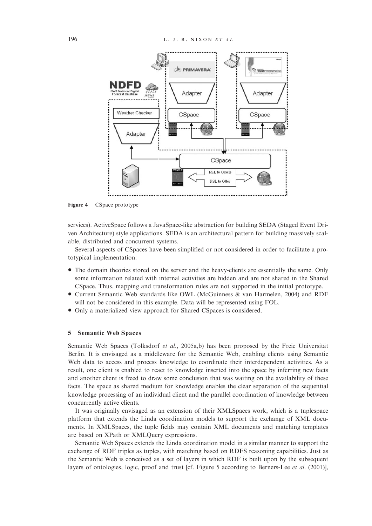

Figure 4 CSpace prototype

services). ActiveSpace follows a JavaSpace-like abstraction for building SEDA (Staged Event Driven Architecture) style applications. SEDA is an architectural pattern for building massively scalable, distributed and concurrent systems.

Several aspects of CSpaces have been simplified or not considered in order to facilitate a prototypical implementation:

- \* The domain theories stored on the server and the heavy-clients are essentially the same. Only some information related with internal activities are hidden and are not shared in the Shared CSpace. Thus, mapping and transformation rules are not supported in the initial prototype.
- \* Current Semantic Web standards like OWL (McGuinness & van Harmelen, 2004) and RDF will not be considered in this example. Data will be represented using FOL.
- \* Only a materialized view approach for Shared CSpaces is considered.

# 5 Semantic Web Spaces

Semantic Web Spaces (Tolksdorf et al., 2005a,b) has been proposed by the Freie Universität Berlin. It is envisaged as a middleware for the Semantic Web, enabling clients using Semantic Web data to access and process knowledge to coordinate their interdependent activities. As a result, one client is enabled to react to knowledge inserted into the space by inferring new facts and another client is freed to draw some conclusion that was waiting on the availability of these facts. The space as shared medium for knowledge enables the clear separation of the sequential knowledge processing of an individual client and the parallel coordination of knowledge between concurrently active clients.

It was originally envisaged as an extension of their XMLSpaces work, which is a tuplespace platform that extends the Linda coordination models to support the exchange of XML documents. In XMLSpaces, the tuple fields may contain XML documents and matching templates are based on XPath or XMLQuery expressions.

Semantic Web Spaces extends the Linda coordination model in a similar manner to support the exchange of RDF triples as tuples, with matching based on RDFS reasoning capabilities. Just as the Semantic Web is conceived as a set of layers in which RDF is built upon by the subsequent layers of ontologies, logic, proof and trust [cf. Figure 5 according to Berners-Lee et al. (2001)],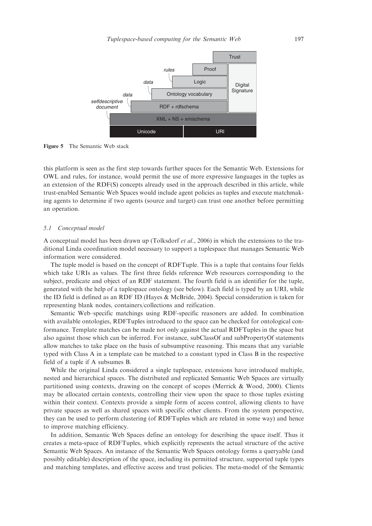

Figure 5 The Semantic Web stack

this platform is seen as the first step towards further spaces for the Semantic Web. Extensions for OWL and rules, for instance, would permit the use of more expressive languages in the tuples as an extension of the RDF(S) concepts already used in the approach described in this article, while trust-enabled Semantic Web Spaces would include agent policies as tuples and execute matchmaking agents to determine if two agents (source and target) can trust one another before permitting an operation.

# 5.1 Conceptual model

A conceptual model has been drawn up (Tolksdorf et al., 2006) in which the extensions to the traditional Linda coordination model necessary to support a tuplespace that manages Semantic Web information were considered.

The tuple model is based on the concept of RDFTuple. This is a tuple that contains four fields which take URIs as values. The first three fields reference Web resources corresponding to the subject, predicate and object of an RDF statement. The fourth field is an identifier for the tuple, generated with the help of a tuplespace ontology (see below). Each field is typed by an URI, while the ID field is defined as an RDF ID (Hayes & McBride, 2004). Special consideration is taken for representing blank nodes, containers/collections and reification.

Semantic Web–specific matchings using RDF-specific reasoners are added. In combination with available ontologies, RDFTuples introduced to the space can be checked for ontological conformance. Template matches can be made not only against the actual RDFTuples in the space but also against those which can be inferred. For instance, subClassOf and subPropertyOf statements allow matches to take place on the basis of subsumptive reasoning. This means that any variable typed with Class A in a template can be matched to a constant typed in Class B in the respective field of a tuple if A subsumes B.

While the original Linda considered a single tuplespace, extensions have introduced multiple, nested and hierarchical spaces. The distributed and replicated Semantic Web Spaces are virtually partitioned using contexts, drawing on the concept of scopes (Merrick & Wood, 2000). Clients may be allocated certain contexts, controlling their view upon the space to those tuples existing within their context. Contexts provide a simple form of access control, allowing clients to have private spaces as well as shared spaces with specific other clients. From the system perspective, they can be used to perform clustering (of RDFTuples which are related in some way) and hence to improve matching efficiency.

In addition, Semantic Web Spaces define an ontology for describing the space itself. Thus it creates a meta-space of RDFTuples, which explicitly represents the actual structure of the active Semantic Web Spaces. An instance of the Semantic Web Spaces ontology forms a queryable (and possibly editable) description of the space, including its permitted structure, supported tuple types and matching templates, and effective access and trust policies. The meta-model of the Semantic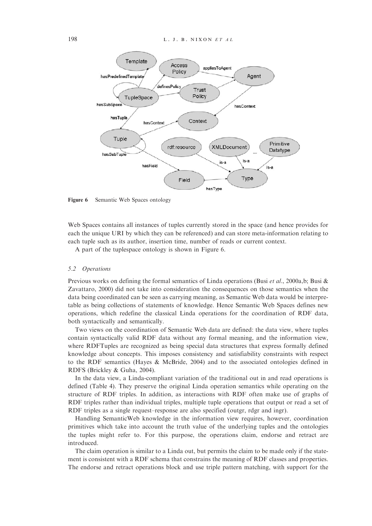

Figure 6 Semantic Web Spaces ontology

Web Spaces contains all instances of tuples currently stored in the space (and hence provides for each the unique URI by which they can be referenced) and can store meta-information relating to each tuple such as its author, insertion time, number of reads or current context.

A part of the tuplespace ontology is shown in Figure 6.

#### 5.2 Operations

Previous works on defining the formal semantics of Linda operations (Busi et al., 2000a,b; Busi & Zavattaro, 2000) did not take into consideration the consequences on those semantics when the data being coordinated can be seen as carrying meaning, as Semantic Web data would be interpretable as being collections of statements of knowledge. Hence Semantic Web Spaces defines new operations, which redefine the classical Linda operations for the coordination of RDF data, both syntactically and semantically.

Two views on the coordination of Semantic Web data are defined: the data view, where tuples contain syntactically valid RDF data without any formal meaning, and the information view, where RDFTuples are recognized as being special data structures that express formally defined knowledge about concepts. This imposes consistency and satisfiability constraints with respect to the RDF semantics (Hayes & McBride, 2004) and to the associated ontologies defined in RDFS (Brickley & Guha, 2004).

In the data view, a Linda-compliant variation of the traditional out in and read operations is defined (Table 4). They preserve the original Linda operation semantics while operating on the structure of RDF triples. In addition, as interactions with RDF often make use of graphs of RDF triples rather than individual triples, multiple tuple operations that output or read a set of RDF triples as a single request–response are also specified (outgr, rdgr and ingr).

Handling SemanticWeb knowledge in the information view requires, however, coordination primitives which take into account the truth value of the underlying tuples and the ontologies the tuples might refer to. For this purpose, the operations claim, endorse and retract are introduced.

The claim operation is similar to a Linda out, but permits the claim to be made only if the statement is consistent with a RDF schema that constrains the meaning of RDF classes and properties. The endorse and retract operations block and use triple pattern matching, with support for the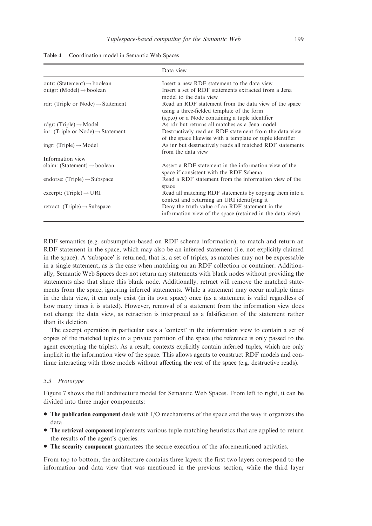|                                               | Data view                                                                                                                                                  |
|-----------------------------------------------|------------------------------------------------------------------------------------------------------------------------------------------------------------|
| outr: (Statement) $\rightarrow$ boolean       | Insert a new RDF statement to the data view                                                                                                                |
| outgr: (Model) $\rightarrow$ boolean          | Insert a set of RDF statements extracted from a Jena<br>model to the data view                                                                             |
| rdr: (Triple or Node) $\rightarrow$ Statement | Read an RDF statement from the data view of the space<br>using a three-fielded template of the form<br>$(s, p, o)$ or a Node containing a tuple identifier |
| rdgr: (Triple) $\rightarrow$ Model            | As rdr but returns all matches as a Jena model                                                                                                             |
| inr: (Triple or Node) $\rightarrow$ Statement | Destructively read an RDF statement from the data view<br>of the space likewise with a template or tuple identifier                                        |
| ingr: (Triple) $\rightarrow$ Model            | As inr but destructively reads all matched RDF statements<br>from the data view                                                                            |
| Information view                              |                                                                                                                                                            |
| claim: (Statement) $\rightarrow$ boolean      | Assert a RDF statement in the information view of the<br>space if consistent with the RDF Schema                                                           |
| endorse: $(Triple) \rightarrow Subspace$      | Read a RDF statement from the information view of the<br>space                                                                                             |
| excerpt: (Triple) $\rightarrow$ URI           | Read all matching RDF statements by copying them into a<br>context and returning an URI identifying it                                                     |
| retract: (Triple) $\rightarrow$ Subspace      | Deny the truth value of an RDF statement in the<br>information view of the space (retained in the data view)                                               |

Table 4 Coordination model in Semantic Web Spaces

RDF semantics (e.g. subsumption-based on RDF schema information), to match and return an RDF statement in the space, which may also be an inferred statement (i.e. not explicitly claimed in the space). A 'subspace' is returned, that is, a set of triples, as matches may not be expressable in a single statement, as is the case when matching on an RDF collection or container. Additionally, Semantic Web Spaces does not return any statements with blank nodes without providing the statements also that share this blank node. Additionally, retract will remove the matched statements from the space, ignoring inferred statements. While a statement may occur multiple times in the data view, it can only exist (in its own space) once (as a statement is valid regardless of how many times it is stated). However, removal of a statement from the information view does not change the data view, as retraction is interpreted as a falsification of the statement rather than its deletion.

The excerpt operation in particular uses a 'context' in the information view to contain a set of copies of the matched tuples in a private partition of the space (the reference is only passed to the agent excerpting the triples). As a result, contexts explicitly contain inferred tuples, which are only implicit in the information view of the space. This allows agents to construct RDF models and continue interacting with those models without affecting the rest of the space (e.g. destructive reads).

#### 5.3 Prototype

Figure 7 shows the full architecture model for Semantic Web Spaces. From left to right, it can be divided into three major components:

- The publication component deals with I/O mechanisms of the space and the way it organizes the data.
- The retrieval component implements various tuple matching heuristics that are applied to return the results of the agent's queries.
- The security component guarantees the secure execution of the aforementioned activities.

From top to bottom, the architecture contains three layers: the first two layers correspond to the information and data view that was mentioned in the previous section, while the third layer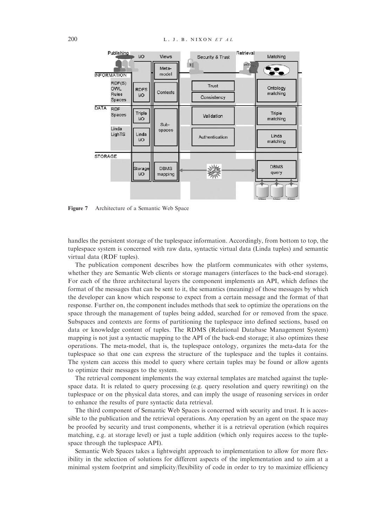

Figure 7 Architecture of a Semantic Web Space

handles the persistent storage of the tuplespace information. Accordingly, from bottom to top, the tuplespace system is concerned with raw data, syntactic virtual data (Linda tuples) and semantic virtual data (RDF tuples).

The publication component describes how the platform communicates with other systems, whether they are Semantic Web clients or storage managers (interfaces to the back-end storage). For each of the three architectural layers the component implements an API, which defines the format of the messages that can be sent to it, the semantics (meaning) of those messages by which the developer can know which response to expect from a certain message and the format of that response. Further on, the component includes methods that seek to optimize the operations on the space through the management of tuples being added, searched for or removed from the space. Subspaces and contexts are forms of partitioning the tuplespace into defined sections, based on data or knowledge content of tuples. The RDMS (Relational Database Management System) mapping is not just a syntactic mapping to the API of the back-end storage; it also optimizes these operations. The meta-model, that is, the tuplespace ontology, organizes the meta-data for the tuplespace so that one can express the structure of the tuplespace and the tuples it contains. The system can access this model to query where certain tuples may be found or allow agents to optimize their messages to the system.

The retrieval component implements the way external templates are matched against the tuplespace data. It is related to query processing (e.g. query resolution and query rewriting) on the tuplespace or on the physical data stores, and can imply the usage of reasoning services in order to enhance the results of pure syntactic data retrieval.

The third component of Semantic Web Spaces is concerned with security and trust. It is accessible to the publication and the retrieval operations. Any operation by an agent on the space may be proofed by security and trust components, whether it is a retrieval operation (which requires matching, e.g. at storage level) or just a tuple addition (which only requires access to the tuplespace through the tuplespace API).

Semantic Web Spaces takes a lightweight approach to implementation to allow for more flexibility in the selection of solutions for different aspects of the implementation and to aim at a minimal system footprint and simplicity/flexibility of code in order to try to maximize efficiency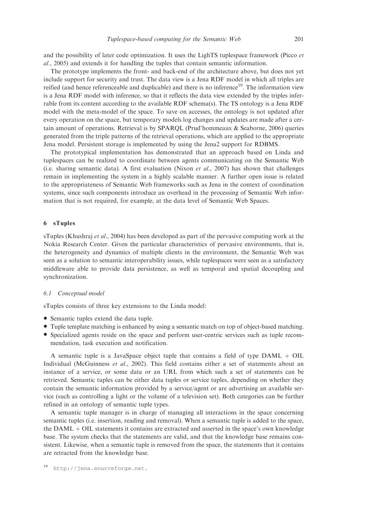and the possibility of later code optimization. It uses the LighTS tuplespace framework (Picco et al., 2005) and extends it for handling the tuples that contain semantic information.

The prototype implements the front- and back-end of the architecture above, but does not yet include support for security and trust. The data view is a Jena RDF model in which all triples are reified (and hence referenceable and duplicable) and there is no inference<sup>19</sup>. The information view is a Jena RDF model with inference, so that it reflects the data view extended by the triples inferrable from its content according to the available RDF schema(s). The TS ontology is a Jena RDF model with the meta-model of the space. To save on accesses, the ontology is not updated after every operation on the space, but temporary models log changes and updates are made after a certain amount of operations. Retrieval is by SPARQL (Prud'hommeaux & Seaborne, 2006) queries generated from the triple patterns of the retrieval operations, which are applied to the appropriate Jena model. Persistent storage is implemented by using the Jena2 support for RDBMS.

The prototypical implementation has demonstrated that an approach based on Linda and tuplespaces can be realized to coordinate between agents communicating on the Semantic Web (i.e. sharing semantic data). A first evaluation (Nixon *et al.*, 2007) has shown that challenges remain in implementing the system in a highly scalable manner. A further open issue is related to the appropriateness of Semantic Web frameworks such as Jena in the context of coordination systems, since such components introduce an overhead in the processing of Semantic Web information that is not required, for example, at the data level of Semantic Web Spaces.

#### 6 sTuples

sTuples (Khushraj et al., 2004) has been developed as part of the pervasive computing work at the Nokia Research Center. Given the particular characteristics of pervasive environments, that is, the heterogeneity and dynamics of multiple clients in the environment, the Semantic Web was seen as a solution to semantic interoperability issues, while tuplespaces were seen as a satisfactory middleware able to provide data persistence, as well as temporal and spatial decoupling and synchronization.

#### 6.1 Conceptual model

sTuples consists of three key extensions to the Linda model:

- Semantic tuples extend the data tuple.
- Tuple template matching is enhanced by using a semantic match on top of object-based matching.
- \* Specialized agents reside on the space and perform user-centric services such as tuple recommendation, task execution and notification.

A semantic tuple is a JavaSpace object tuple that contains a field of type  $DAML + OIL$ Individual (McGuinness et al., 2002). This field contains either a set of statements about an instance of a service, or some data or an URL from which such a set of statements can be retrieved. Semantic tuples can be either data tuples or service tuples, depending on whether they contain the semantic information provided by a service/agent or are advertising an available service (such as controlling a light or the volume of a television set). Both categories can be further refined in an ontology of semantic tuple types.

A semantic tuple manager is in charge of managing all interactions in the space concerning semantic tuples (i.e. insertion, reading and removal). When a semantic tuple is added to the space, the  $DAML + OIL$  statements it contains are extracted and asserted in the space's own knowledge base. The system checks that the statements are valid, and that the knowledge base remains consistent. Likewise, when a semantic tuple is removed from the space, the statements that it contains are retracted from the knowledge base.

<sup>19</sup> [http://jena.sourceforge.net.](http://jena.sourceforge.net)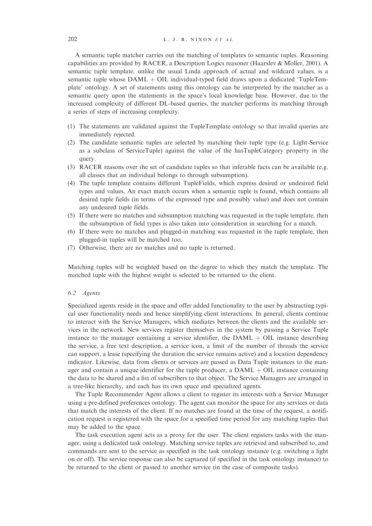# 202  $L, J, B, NIXONETAL$

A semantic tuple matcher carries out the matching of templates to semantic tuples. Reasoning capabilities are provided by RACER, a Description Logics reasoner (Haarslev & Möller, 2001). A semantic tuple template, unlike the usual Linda approach of actual and wildcard values, is a semantic tuple whose  $DAML + OIL$  individual-typed field draws upon a dedicated 'TupleTemplate' ontology. A set of statements using this ontology can be interpreted by the matcher as a semantic query upon the statements in the space's local knowledge base. However, due to the increased complexity of different DL-based queries, the matcher performs its matching through a series of steps of increasing complexity.

- (1) The statements are validated against the TupleTemplate ontology so that invalid queries are immediately rejected.
- (2) The candidate semantic tuples are selected by matching their tuple type (e.g. Light-Service as a subclass of ServiceTuple) against the value of the hasTupleCategory property in the query.
- (3) RACER reasons over the set of candidate tuples so that inferable facts can be available (e.g. all classes that an individual belongs to through subsumption).
- (4) The tuple template contains different TupleFields, which express desired or undesired field types and values. An exact match occurs when a semantic tuple is found, which contains all desired tuple fields (in terms of the expressed type and possibly value) and does not contain any undesired tuple fields.
- (5) If there were no matches and subsumption matching was requested in the tuple template, then the subsumption of field types is also taken into consideration in searching for a match.
- (6) If there were no matches and plugged-in matching was requested in the tuple template, then plugged-in tuples will be matched too.
- (7) Otherwise, there are no matches and no tuple is returned.

Matching tuples will be weighted based on the degree to which they match the template. The matched tuple with the highest weight is selected to be returned to the client.

#### 6.2 Agents

Specialized agents reside in the space and offer added functionality to the user by abstracting typical user functionality needs and hence simplifying client interactions. In general, clients continue to interact with the Service Managers, which mediates between the clients and the available services in the network. New services register themselves in the system by passing a Service Tuple instance to the manager containing a service identifier, the  $DAML + OIL$  instance describing the service, a free text description, a service icon, a limit of the number of threads the service can support, a lease (specifying the duration the service remains active) and a location dependency indicator. Likewise, data from clients or services are passed as Data Tuple instances to the manager and contain a unique identifier for the tuple producer, a  $DAML + OIL$  instance containing the data to be shared and a list of subscribers to that object. The Service Managers are arranged in a tree-like hierarchy, and each has its own space and specialized agents.

The Tuple Recommender Agent allows a client to register its interests with a Service Manager using a pre-defined preferences ontology. The agent can monitor the space for any services or data that match the interests of the client. If no matches are found at the time of the request, a notification request is registered with the space for a specified time period for any matching tuples that may be added to the space.

The task execution agent acts as a proxy for the user. The client registers tasks with the manager, using a dedicated task ontology. Matching service tuples are retrieved and subscribed to, and commands are sent to the service as specified in the task ontology instance (e.g. switching a light on or off). The service response can also be captured (if specified in the task ontology instance) to be returned to the client or passed to another service (in the case of composite tasks).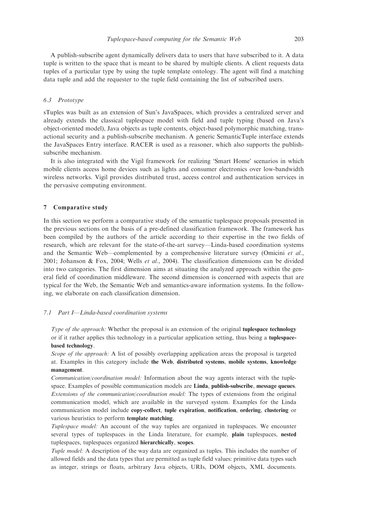A publish-subscribe agent dynamically delivers data to users that have subscribed to it. A data tuple is written to the space that is meant to be shared by multiple clients. A client requests data tuples of a particular type by using the tuple template ontology. The agent will find a matching data tuple and add the requester to the tuple field containing the list of subscribed users.

# 6.3 Prototype

sTuples was built as an extension of Sun's JavaSpaces, which provides a centralized server and already extends the classical tuplespace model with field and tuple typing (based on Java's object-oriented model), Java objects as tuple contents, object-based polymorphic matching, transactional security and a publish-subscribe mechanism. A generic SemanticTuple interface extends the JavaSpaces Entry interface. RACER is used as a reasoner, which also supports the publishsubscribe mechanism.

It is also integrated with the Vigil framework for realizing 'Smart Home' scenarios in which mobile clients access home devices such as lights and consumer electronics over low-bandwidth wireless networks. Vigil provides distributed trust, access control and authentication services in the pervasive computing environment.

#### 7 Comparative study

In this section we perform a comparative study of the semantic tuplespace proposals presented in the previous sections on the basis of a pre-defined classification framework. The framework has been compiled by the authors of the article according to their expertise in the two fields of research, which are relevant for the state-of-the-art survey—Linda-based coordination systems and the Semantic Web—complemented by a comprehensive literature survey (Omicini et al., 2001; Johanson & Fox, 2004; Wells *et al.*, 2004). The classification dimensions can be divided into two categories. The first dimension aims at situating the analyzed approach within the general field of coordination middleware. The second dimension is concerned with aspects that are typical for the Web, the Semantic Web and semantics-aware information systems. In the following, we elaborate on each classification dimension.

#### 7.1 Part I—Linda-based coordination systems

Type of the approach: Whether the proposal is an extension of the original **tuplespace technology** or if it rather applies this technology in a particular application setting, thus being a tuplespacebased technology.

Scope of the approach: A list of possibly overlapping application areas the proposal is targeted at. Examples in this category include the Web, distributed systems, mobile systems, knowledge management.

Communication/coordination model: Information about the way agents interact with the tuplespace. Examples of possible communication models are Linda, publish-subscribe, message queues. Extensions of the communication/coordination model: The types of extensions from the original communication model, which are available in the surveyed system. Examples for the Linda communication model include copy-collect, tuple expiration, notification, ordering, clustering or various heuristics to perform template matching.

Tuplespace model: An account of the way tuples are organized in tuplespaces. We encounter several types of tuplespaces in the Linda literature, for example, plain tuplespaces, nested tuplespaces, tuplespaces organized hierarchically, scopes.

Tuple model: A description of the way data are organized as tuples. This includes the number of allowed fields and the data types that are permitted as tuple field values: primitive data types such as integer, strings or floats, arbitrary Java objects, URIs, DOM objects, XML documents.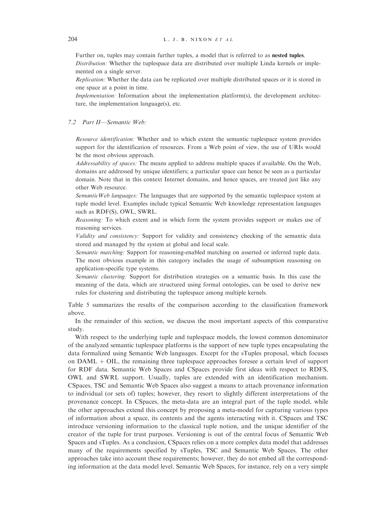Further on, tuples may contain further tuples, a model that is referred to as nested tuples.

Distribution: Whether the tuplespace data are distributed over multiple Linda kernels or implemented on a single server.

Replication: Whether the data can be replicated over multiple distributed spaces or it is stored in one space at a point in time.

Implementation: Information about the implementation platform(s), the development architecture, the implementation language(s), etc.

#### 7.2 Part II—Semantic Web:

Resource identification: Whether and to which extent the semantic tuplespace system provides support for the identification of resources. From a Web point of view, the use of URIs would be the most obvious approach.

Addressability of spaces: The means applied to address multiple spaces if available. On the Web, domains are addressed by unique identifiers; a particular space can hence be seen as a particular domain. Note that in this context Internet domains, and hence spaces, are treated just like any other Web resource.

SemanticWeb languages: The languages that are supported by the semantic tuplespace system at tuple model level. Examples include typical Semantic Web knowledge representation languages such as RDF(S), OWL, SWRL.

Reasoning: To which extent and in which form the system provides support or makes use of reasoning services.

Validity and consistency: Support for validity and consistency checking of the semantic data stored and managed by the system at global and local scale.

Semantic matching: Support for reasoning-enabled matching on asserted or inferred tuple data. The most obvious example in this category includes the usage of subsumption reasoning on application-specific type systems.

Semantic clustering: Support for distribution strategies on a semantic basis. In this case the meaning of the data, which are structured using formal ontologies, can be used to derive new rules for clustering and distributing the tuplespace among multiple kernels.

Table 5 summarizes the results of the comparison according to the classification framework above.

In the remainder of this section, we discuss the most important aspects of this comparative study.

With respect to the underlying tuple and tuplespace models, the lowest common denominator of the analyzed semantic tuplespace platforms is the support of new tuple types encapsulating the data formalized using Semantic Web languages. Except for the sTuples proposal, which focuses on  $DAML + OIL$ , the remaining three tuplespace approaches foresee a certain level of support for RDF data. Semantic Web Spaces and CSpaces provide first ideas with respect to RDFS, OWL and SWRL support. Usually, tuples are extended with an identification mechanism. CSpaces, TSC and Semantic Web Spaces also suggest a means to attach provenance information to individual (or sets of) tuples; however, they resort to slightly different interpretations of the provenance concept. In CSpaces, the meta-data are an integral part of the tuple model, while the other approaches extend this concept by proposing a meta-model for capturing various types of information about a space, its contents and the agents interacting with it. CSpaces and TSC introduce versioning information to the classical tuple notion, and the unique identifier of the creator of the tuple for trust purposes. Versioning is out of the central focus of Semantic Web Spaces and sTuples. As a conclusion, CSpaces relies on a more complex data model that addresses many of the requirements specified by sTuples, TSC and Semantic Web Spaces. The other approaches take into account these requirements; however, they do not embed all the corresponding information at the data model level. Semantic Web Spaces, for instance, rely on a very simple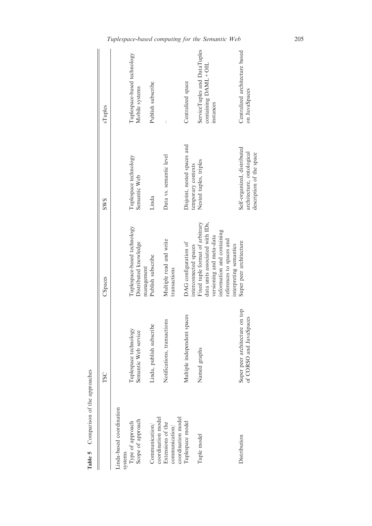|                                                           | TSC                                                          | CSpaces                                                                                                                                                  | <b>SWS</b>                                                                           | sTuples                                                                |
|-----------------------------------------------------------|--------------------------------------------------------------|----------------------------------------------------------------------------------------------------------------------------------------------------------|--------------------------------------------------------------------------------------|------------------------------------------------------------------------|
| Linda-based coordination<br>systems                       |                                                              |                                                                                                                                                          |                                                                                      |                                                                        |
| Type of approach                                          | Tuplespace technology                                        | Tuplespace-based technology                                                                                                                              | Tuplespace technology                                                                | Tuplespace-based technology                                            |
| Scope of approach                                         | Semantic Web service                                         | Distributed knowledge<br>management                                                                                                                      | Semantic Web                                                                         | Mobile systems                                                         |
| coordination model<br>Communication/                      | Linda, publish subscribe                                     | Publish subscribe                                                                                                                                        | Linda                                                                                | Publish subscribe                                                      |
| coordination model<br>Extensions of the<br>communication/ | Notifications, transactions                                  | Multiple read and write<br>transactions                                                                                                                  | Data vs. semantic level                                                              |                                                                        |
| Tuplespace model                                          | Multiple independent spaces                                  | DAG configuration of<br>interconnected spaces                                                                                                            | Disjoint, nested spaces and<br>temporary contexts                                    | Centralized space                                                      |
| Tuple model                                               | Named graphs                                                 | data units associated with IDs,<br>Fixed tuple format of arbitrary<br>information and containing<br>versioning and meta-data<br>references to spaces and | Nested tuples, triples                                                               | ServiceTuples and DataTuples<br>$containing$ $DAML + OIL$<br>instances |
| Distribution                                              | on top<br>of CORSO and JavaSpaces<br>Super peer architecture | Super peer architecture<br>interpreting semantics                                                                                                        | Self-organized, distributed<br>architecture, ontological<br>description of the space | Centralized architecture based<br>on JavaSpaces                        |

Table 5 Comparison of the approaches Table 5 Comparison of the approaches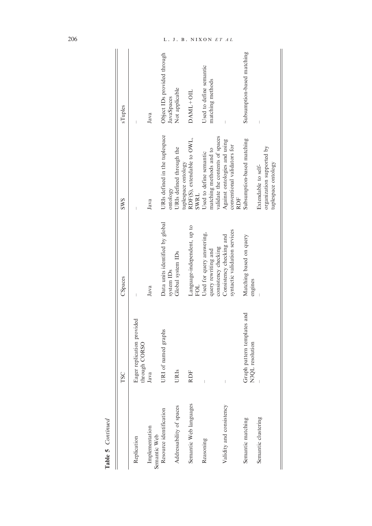| Table 5 Continued              |                                                |                                                                                   |                                                                                                |                                             |
|--------------------------------|------------------------------------------------|-----------------------------------------------------------------------------------|------------------------------------------------------------------------------------------------|---------------------------------------------|
|                                | TSC                                            | CSpaces                                                                           | <b>SWS</b>                                                                                     | sTuples                                     |
| Replication                    | Eager replication provided<br>through CORSO    |                                                                                   |                                                                                                |                                             |
| Implementation<br>Semantic Web | Java                                           | Java                                                                              | Java                                                                                           | Java                                        |
| Resource identification        | URI of named graphs                            | Data units identified by global<br>system IDs                                     | URIs defined in the tuplespace<br>ontology                                                     | Object IDs provided through<br>JavaSpaces   |
| Addressability of spaces       | URIs                                           | Global system IDs                                                                 | URIs defined through the                                                                       | Not applicable                              |
| Semantic Web languages         | <b>RDF</b>                                     | Language-independent, up to<br>FOL                                                | RDF(S), extendable to OWL,<br>tuplespace ontology<br>SWRL                                      | $DAML+OIL$                                  |
| Reasoning                      |                                                | Used for query answering,<br>query rewriting and                                  | matching methods and to<br>Used to define semantic                                             | Used to define semantic<br>matching methods |
| Validity and consistency       |                                                | syntactic validation services<br>Consistency checking and<br>consistency checking | validate the contents of spaces<br>Against ontologies and using<br>conventional validators for |                                             |
| Semantic matching              | Graph pattern templates and<br>N3QL resolution | Matching based on query<br>engines                                                | Subsumption-based matching<br><b>RDF</b>                                                       | Subsumption-based matching                  |
| Semantic clustering            |                                                |                                                                                   | Extendable to self-                                                                            |                                             |
|                                |                                                |                                                                                   | organization supported by<br>tuplespace ontology                                               |                                             |

# 206 L. J. B. NIXON ET AL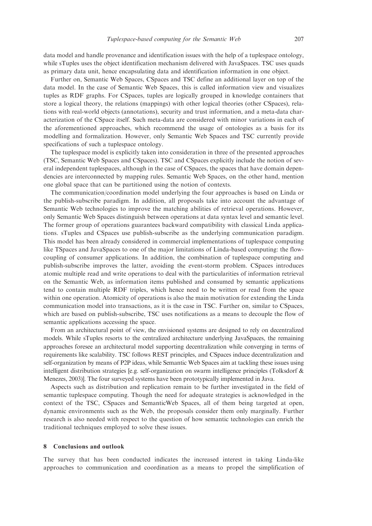data model and handle provenance and identification issues with the help of a tuplespace ontology, while sTuples uses the object identification mechanism delivered with JavaSpaces. TSC uses quads as primary data unit, hence encapsulating data and identification information in one object.

Further on, Semantic Web Spaces, CSpaces and TSC define an additional layer on top of the data model. In the case of Semantic Web Spaces, this is called information view and visualizes tuples as RDF graphs. For CSpaces, tuples are logically grouped in knowledge containers that store a logical theory, the relations (mappings) with other logical theories (other CSpaces), relations with real-world objects (annotations), security and trust information, and a meta-data characterization of the CSpace itself. Such meta-data are considered with minor variations in each of the aforementioned approaches, which recommend the usage of ontologies as a basis for its modelling and formalization. However, only Semantic Web Spaces and TSC currently provide specifications of such a tuplespace ontology.

The tuplespace model is explicitly taken into consideration in three of the presented approaches (TSC, Semantic Web Spaces and CSpaces). TSC and CSpaces explicitly include the notion of several independent tuplespaces, although in the case of CSpaces, the spaces that have domain dependencies are interconnected by mapping rules. Semantic Web Spaces, on the other hand, mention one global space that can be partitioned using the notion of contexts.

The communication/coordination model underlying the four approaches is based on Linda or the publish-subscribe paradigm. In addition, all proposals take into account the advantage of Semantic Web technologies to improve the matching abilities of retrieval operations. However, only Semantic Web Spaces distinguish between operations at data syntax level and semantic level. The former group of operations guarantees backward compatibility with classical Linda applications. sTuples and CSpaces use publish-subscribe as the underlying communication paradigm. This model has been already considered in commercial implementations of tuplespace computing like TSpaces and JavaSpaces to one of the major limitations of Linda-based computing: the flowcoupling of consumer applications. In addition, the combination of tuplespace computing and publish-subscribe improves the latter, avoiding the event-storm problem. CSpaces introduces atomic multiple read and write operations to deal with the particularities of information retrieval on the Semantic Web, as information items published and consumed by semantic applications tend to contain multiple RDF triples, which hence need to be written or read from the space within one operation. Atomicity of operations is also the main motivation for extending the Linda communication model into transactions, as it is the case in TSC. Further on, similar to CSpaces, which are based on publish-subscribe, TSC uses notifications as a means to decouple the flow of semantic applications accessing the space.

From an architectural point of view, the envisioned systems are designed to rely on decentralized models. While sTuples resorts to the centralized architecture underlying JavaSpaces, the remaining approaches foresee an architectural model supporting decentralization while converging in terms of requirements like scalability. TSC follows REST principles, and CSpaces induce decentralization and self-organization by means of P2P ideas, while Semantic Web Spaces aim at tackling these issues using intelligent distribution strategies [e.g. self-organization on swarm intelligence principles (Tolksdorf & Menezes, 2003)]. The four surveyed systems have been prototypically implemented in Java.

Aspects such as distribution and replication remain to be further investigated in the field of semantic tuplespace computing. Though the need for adequate strategies is acknowledged in the context of the TSC, CSpaces and SemanticWeb Spaces, all of them being targeted at open, dynamic environments such as the Web, the proposals consider them only marginally. Further research is also needed with respect to the question of how semantic technologies can enrich the traditional techniques employed to solve these issues.

#### 8 Conclusions and outlook

The survey that has been conducted indicates the increased interest in taking Linda-like approaches to communication and coordination as a means to propel the simplification of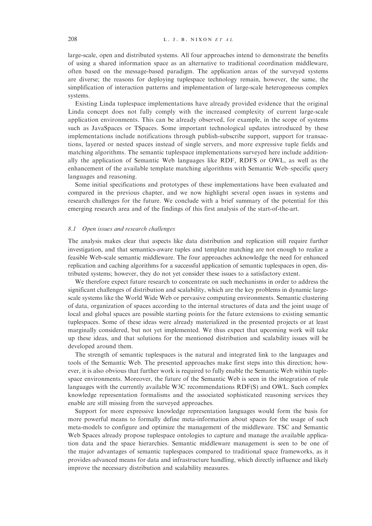large-scale, open and distributed systems. All four approaches intend to demonstrate the benefits of using a shared information space as an alternative to traditional coordination middleware, often based on the message-based paradigm. The application areas of the surveyed systems are diverse; the reasons for deploying tuplespace technology remain, however, the same, the simplification of interaction patterns and implementation of large-scale heterogeneous complex systems.

Existing Linda tuplespace implementations have already provided evidence that the original Linda concept does not fully comply with the increased complexity of current large-scale application environments. This can be already observed, for example, in the scope of systems such as JavaSpaces or TSpaces. Some important technological updates introduced by these implementations include notifications through publish-subscribe support, support for transactions, layered or nested spaces instead of single servers, and more expressive tuple fields and matching algorithms. The semantic tuplespace implementations surveyed here include additionally the application of Semantic Web languages like RDF, RDFS or OWL, as well as the enhancement of the available template matching algorithms with Semantic Web–specific query languages and reasoning.

Some initial specifications and prototypes of these implementations have been evaluated and compared in the previous chapter, and we now highlight several open issues in systems and research challenges for the future. We conclude with a brief summary of the potential for this emerging research area and of the findings of this first analysis of the start-of-the-art.

#### 8.1 Open issues and research challenges

The analysis makes clear that aspects like data distribution and replication still require further investigation, and that semantics-aware tuples and template matching are not enough to realize a feasible Web-scale semantic middleware. The four approaches acknowledge the need for enhanced replication and caching algorithms for a successful application of semantic tuplespaces in open, distributed systems; however, they do not yet consider these issues to a satisfactory extent.

We therefore expect future research to concentrate on such mechanisms in order to address the significant challenges of distribution and scalability, which are the key problems in dynamic largescale systems like the World Wide Web or pervasive computing environments. Semantic clustering of data, organization of spaces according to the internal structures of data and the joint usage of local and global spaces are possible starting points for the future extensions to existing semantic tuplespaces. Some of these ideas were already materialized in the presented projects or at least marginally considered, but not yet implemented. We thus expect that upcoming work will take up these ideas, and that solutions for the mentioned distribution and scalability issues will be developed around them.

The strength of semantic tuplespaces is the natural and integrated link to the languages and tools of the Semantic Web. The presented approaches make first steps into this direction; however, it is also obvious that further work is required to fully enable the Semantic Web within tuplespace environments. Moreover, the future of the Semantic Web is seen in the integration of rule languages with the currently available W3C recommendations RDF(S) and OWL. Such complex knowledge representation formalisms and the associated sophisticated reasoning services they enable are still missing from the surveyed approaches.

Support for more expressive knowledge representation languages would form the basis for more powerful means to formally define meta-information about spaces for the usage of such meta-models to configure and optimize the management of the middleware. TSC and Semantic Web Spaces already propose tuplespace ontologies to capture and manage the available application data and the space hierarchies. Semantic middleware management is seen to be one of the major advantages of semantic tuplespaces compared to traditional space frameworks, as it provides advanced means for data and infrastructure handling, which directly influence and likely improve the necessary distribution and scalability measures.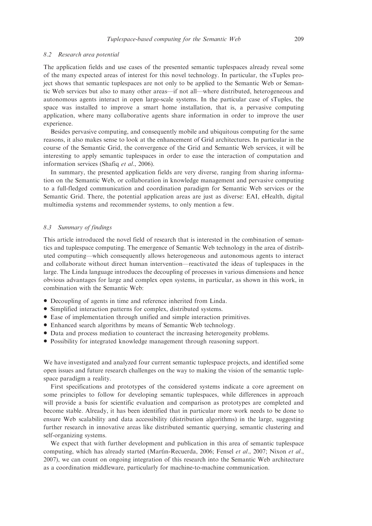### 8.2 Research area potential

The application fields and use cases of the presented semantic tuplespaces already reveal some of the many expected areas of interest for this novel technology. In particular, the sTuples project shows that semantic tuplespaces are not only to be applied to the Semantic Web or Semantic Web services but also to many other areas—if not all—where distributed, heterogeneous and autonomous agents interact in open large-scale systems. In the particular case of sTuples, the space was installed to improve a smart home installation, that is, a pervasive computing application, where many collaborative agents share information in order to improve the user experience.

Besides pervasive computing, and consequently mobile and ubiquitous computing for the same reasons, it also makes sense to look at the enhancement of Grid architectures. In particular in the course of the Semantic Grid, the convergence of the Grid and Semantic Web services, it will be interesting to apply semantic tuplespaces in order to ease the interaction of computation and information services (Shafiq et al., 2006).

In summary, the presented application fields are very diverse, ranging from sharing information on the Semantic Web, or collaboration in knowledge management and pervasive computing to a full-fledged communication and coordination paradigm for Semantic Web services or the Semantic Grid. There, the potential application areas are just as diverse: EAI, eHealth, digital multimedia systems and recommender systems, to only mention a few.

#### 8.3 Summary of findings

This article introduced the novel field of research that is interested in the combination of semantics and tuplespace computing. The emergence of Semantic Web technology in the area of distributed computing—which consequently allows heterogeneous and autonomous agents to interact and collaborate without direct human intervention—reactivated the ideas of tuplespaces in the large. The Linda language introduces the decoupling of processes in various dimensions and hence obvious advantages for large and complex open systems, in particular, as shown in this work, in combination with the Semantic Web:

- Decoupling of agents in time and reference inherited from Linda.
- \* Simplified interaction patterns for complex, distributed systems.
- Ease of implementation through unified and simple interaction primitives.
- Enhanced search algorithms by means of Semantic Web technology.
- \* Data and process mediation to counteract the increasing heterogeneity problems.
- \* Possibility for integrated knowledge management through reasoning support.

We have investigated and analyzed four current semantic tuplespace projects, and identified some open issues and future research challenges on the way to making the vision of the semantic tuplespace paradigm a reality.

First specifications and prototypes of the considered systems indicate a core agreement on some principles to follow for developing semantic tuplespaces, while differences in approach will provide a basis for scientific evaluation and comparison as prototypes are completed and become stable. Already, it has been identified that in particular more work needs to be done to ensure Web scalability and data accessibility (distribution algorithms) in the large, suggesting further research in innovative areas like distributed semantic querying, semantic clustering and self-organizing systems.

We expect that with further development and publication in this area of semantic tuplespace computing, which has already started (Martín-Recuerda, 2006; Fensel et al., 2007; Nixon et al., 2007), we can count on ongoing integration of this research into the Semantic Web architecture as a coordination middleware, particularly for machine-to-machine communication.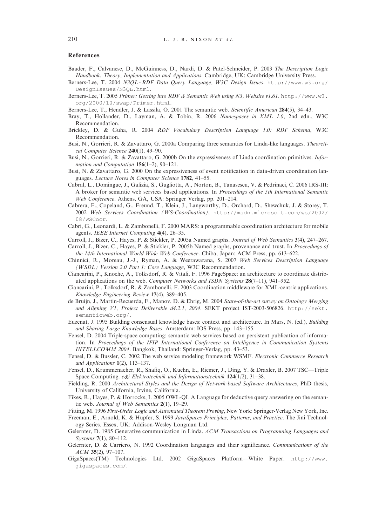#### References

- Baader, F., Calvanese, D., McGuinness, D., Nardi, D. & Patel-Schneider, P. 2003 The Description Logic Handbook: Theory, Implementation and Applications. Cambridge, UK: Cambridge University Press.
- Berners-Lee, T. 2004 N3QL RDF Data Query Language, W3C Design Issues. <http://www.w3.org/> DesignIssues/N3QL.html.
- Berners-Lee, T. 2005 Primer: Getting into RDF & Semantic Web using N3, Website v1.61. [http://www.w3.](http://www.w3) org/2000/10/swap/Primer.html.
- Berners-Lee, T., Hendler, J. & Lassila, O. 2001 The semantic web. Scientific American 284(5), 34–43.
- Bray, T., Hollander, D., Layman, A. & Tobin, R. 2006 Namespaces in XML 1.0, 2nd edn., W3C Recommendation.
- Brickley, D. & Guha, R. 2004 RDF Vocabulary Description Language 1.0: RDF Schema, W3C Recommendation.
- Busi, N., Gorrieri, R. & Zavattaro, G. 2000a Comparing three semantics for Linda-like languages. Theoretical Computer Science 240(1), 49–90.
- Busi, N., Gorrieri, R. & Zavattaro, G. 2000b On the expressiveness of Linda coordination primitives. Information and Computation  $156(1-2)$ , 90-121.
- Busi, N. & Zavattaro, G. 2000 On the expressiveness of event notification in data-driven coordination languages. Lecture Notes in Computer Science 1782, 41–55.
- Cabral, L., Domingue, J., Galizia, S., Gugliotta, A., Norton, B., Tanasescu, V. & Pedrinaci, C. 2006 IRS-III: A broker for semantic web services based applications. In Proceedings of the 5th International Semantic Web Conference. Athens, GA, USA: Springer Verlag, pp. 201–214.
- Cabrera, F., Copeland, G., Freund, T., Klein, J., Langworthy, D., Orchard, D., Shewchuk, J. & Storey, T. 2002 Web Services Coordination (WS-Coordination), <http://msdn.microsoft.com/ws/2002/> 08/WSCoor.
- Cabri, G., Leonardi, L. & Zambonelli, F. 2000 MARS: a programmable coordination architecture for mobile agents. IEEE Internet Computing 4(4), 26–35.
- Carroll, J., Bizer, C., Hayes, P. & Stickler, P. 2005a Named graphs. Journal of Web Semantics 3(4), 247–267.
- Carroll, J., Bizer, C., Hayes, P. & Stickler, P. 2005b Named graphs, provenance and trust. In Proceedings of the 14th International World Wide Web Conference. Chiba, Japan: ACM Press, pp. 613–622.
- Chinnici, R., Moreau, J.-J., Ryman, A. & Weerawarana, S. 2007 Web Services Description Language (WSDL) Version 2.0 Part 1: Core Language, W3C Recommendation.
- Ciancarini, P., Knoche, A., Tolksdorf, R. & Vitali, F. 1996 PageSpace: an architecture to coordinate distributed applications on the web. Computer Networks and ISDN Systems 28(7-11), 941-952.
- Ciancarini, P., Tolksdorf, R. & Zambonelli, F. 2003 Coordination middleware for XML-centric applications. Knowledge Engineering Review 17(4), 389–405.
- de Bruijn, J., Martin-Recuerda, F., Manov, D. & Ehrig, M. 2004 State-of-the-art survey on Ontology Merging and Aligning V1, Project Deliverable d4.2.1, 2004. SEKT project IST-2003-506826. [http://sekt.](http://sekt) semanticweb.org/.
- Euzenat, J. 1995 Building consensual knowledge bases: context and architecture. In Mars, N. (ed.), Building and Sharing Large Knowledge Bases. Amsterdam: IOS Press, pp. 143–155.
- Fensel, D. 2004 Triple-space computing: semantic web services based on persistent publication of information. In Proceedings of the IFIP International Conference on Intelligence in Communication Systems INTELLCOMM 2004. Bangkok, Thailand: Springer-Verlag, pp. 43–53.
- Fensel, D. & Bussler, C. 2002 The web service modeling framework WSMF. Electronic Commerce Research and Applications 1(2), 113–137.
- Fensel, D., Krummenacher, R., Shafiq, O., Kuehn, E., Riemer, J., Ding, Y. & Draxler, B. 2007 TSC—Triple Space Computing. e&i Elektrotechnik und Informationstechnik 124(1/2), 31–38.
- Fielding, R. 2000 Architectural Styles and the Design of Network-based Software Architectures, PhD thesis, University of California, Irvine, California.
- Fikes, R., Hayes, P. & Horrocks, I. 2005 OWL-QL A Language for deductive query answering on the semantic web. Journal of Web Semantics 2(1), 19–29.

Fitting, M. 1996 First-Order Logic and Automated Theorem Proving, New York: Springer-Verlag New York, Inc.

- Freeman, E., Arnold, K. & Hupfer, S. 1999 JavaSpaces Principles, Patterns, and Practice. The Jini Technology Series. Essex, UK: Addison-Wesley Longman Ltd.
- Gelernter, D. 1985 Generative communication in Linda. ACM Transactions on Programming Languages and Systems 7(1), 80–112.
- Gelernter, D. & Carriero, N. 1992 Coordination languages and their significance. Communications of the  $ACM$  35(2), 97–107.
- GigaSpaces(TM) Technologies Ltd. 2002 GigaSpaces Platform—White Paper. [http://www.](http://www) gigaspaces.com/.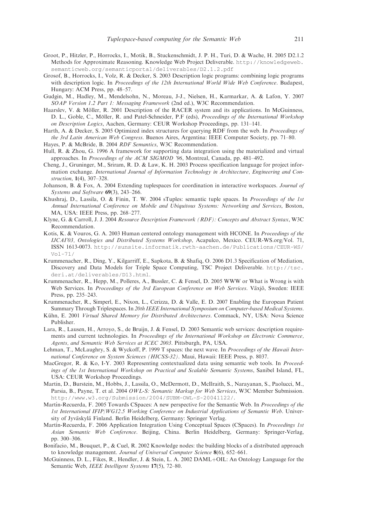- Groot, P., Hitzler, P., Horrocks, I., Motik, B., Stuckenschmidt, J. P. H., Turi, D. & Wache, H. 2005 D2.1.2 Methods for Approximate Reasoning. Knowledge Web Project Deliverable. [http://knowledgeweb.](http://knowledgeweb) semanticweb.org/semanticportal/deliverables/D2.1.2.pdf
- Grosof, B., Horrocks, I., Volz, R. & Decker, S. 2003 Description logic programs: combining logic programs with description logic. In Proceedings of the 12th International World Wide Web Conference. Budapest, Hungary: ACM Press, pp. 48–57.
- Gudgin, M., Hadley, M., Mendelsohn, N., Moreau, J-J., Nielsen, H., Karmarkar, A. & Lafon, Y. 2007 SOAP Version 1.2 Part 1: Messaging Framework (2nd ed.), W3C Recommendation.
- Haarslev, V. & Möller, R. 2001 Description of the RACER system and its applications. In McGuinness, D. L., Goble, C., Möller, R. and Patel-Schneider, P.F (eds), Proceedings of the International Workshop on Description Logics, Aachen, Germany: CEUR Workshop Proceedings, pp. 131–141.
- Harth, A. & Decker, S. 2005 Optimized index structures for querying RDF from the web. In Proceedings of the 3rd Latin American Web Congress. Buenos Aires, Argentina: IEEE Computer Society, pp. 71–80.
- Hayes, P. & McBride, B. 2004 RDF Semantics, W3C Recommendation.
- Hull, R. & Zhou, G. 1996 A framework for supporting data integration using the materialized and virtual approaches. In Proceedings of the ACM SIGMOD '96, Montreal, Canada, pp. 481–492.
- Cheng, J., Gruninger, M., Sriram, R. D. & Law, K. H. 2003 Process specification language for project information exchange. International Journal of Information Technology in Architecture, Engineering and Construction, 1(4), 307–328.
- Johanson, B. & Fox, A. 2004 Extending tuplespaces for coordination in interactive workspaces. Journal of Systems and Software 69(3), 243-266.
- Khushraj, D., Lassila, O. & Finin, T. W. 2004 sTuples: semantic tuple spaces. In Proceedings of the 1st Annual International Conference on Mobile and Ubiquitous Systems: Networking and Services, Boston, MA, USA: IEEE Press, pp. 268–277.
- Klyne, G. & Carroll, J. J. 2004 Resource Description Framework (RDF): Concepts and Abstract Syntax, W3C Recommendation.
- Kotis, K. & Vouros, G. A. 2003 Human centered ontology management with HCONE. In Proceedings of the IJCAI'03, Ontologies and Distributed Systems Workshop, Acapulco, Mexico. CEUR-WS.org/Vol. 71, ISSN 1613-0073. <http://sunsite.informatik.rwth-aachen.de/Publications/CEUR-WS/> Vol-71/
- Krummenacher, R., Ding, Y., Kilgarriff, E., Sapkota, B. & Shafiq, O. 2006 D1.3 Specification of Mediation, Discovery and Data Models for Triple Space Computing, TSC Project Deliverable. [http://tsc.](http://tsc) deri.at/deliverables/D13.html.
- Krummenacher, R., Hepp, M., Polleres, A., Bussler, C. & Fensel, D. 2005 WWW or What is Wrong is with Web Services. In Proceedings of the 3rd European Conference on Web Services. Växjö, Sweden: IEEE Press, pp. 235–243.
- Krummenacher, R., Simperl, E., Nixon, L., Cerizza, D. & Valle, E. D. 2007 Enabling the European Patient Summary Through Triplespaces. In 20th IEEE International Symposium on Computer-based Medical Systems.
- Kühn, E. 2001 Virtual Shared Memory for Distributed Architectures. Commack, NY, USA: Nova Science Publisher.
- Lara, R., Lausen, H., Arroyo, S., de Bruijn, J. & Fensel, D. 2003 Semantic web services: description requirements and current technologies. In Proceedings of the International Workshop on Electronic Commerce, Agents, and Semantic Web Services at ICEC 2003. Pittsburgh, PA, USA.
- Lehman, T., McLaughry, S. & Wyckoff, P. 1999 T spaces: the next wave. In Proceedings of the Hawaii International Conference on System Sciences (HICSS-32). Maui, Hawaii: IEEE Press, p. 8037.
- MacGregor, R. & Ko, I-Y. 2003 Representing contextualized data using semantic web tools. In Proceedings of the 1st International Workshop on Practical and Scalable Semantic Systems, Sanibel Island, FL, USA: CEUR Workshop Proceedings.
- Martin, D., Burstein, M., Hobbs, J., Lassila, O., McDermott, D., McIlraith, S., Narayanan, S., Paolucci, M., Parsia, B., Payne, T. et al. 2004 OWL-S: Semantic Markup for Web Services, W3C Member Submission. <http://www.w3.org/Submission/2004/SUBM-OWL-S-20041122/>.
- Martín-Recuerda, F. 2005 Towards CSpaces: A new perspective for the Semantic Web. In *Proceedings of the* 1st International IFIP/WG12.5 Working Conference on Industrial Applications of Semantic Web. University of Jyväskylä Finland. Berlin Heidelberg, Germany: Springer Verlag.
- Martín-Recuerda, F. 2006 Application Integration Using Conceptual Spaces (CSpaces). In Proceedings 1st Asian Semantic Web Conference. Beijing, China. Berlin Heidelberg, Germany: Springer-Verlag, pp. 300–306.
- Bonifacio, M., Bouquet, P., & Cuel, R. 2002 Knowledge nodes: the building blocks of a distributed approach to knowledge management. Journal of Universal Computer Science 8(6), 652–661.
- McGuinness, D. L., Fikes, R., Hendler, J. & Stein, L. A. 2002  $DAML+OL$ : An Ontology Language for the Semantic Web, IEEE Intelligent Systems 17(5), 72–80.